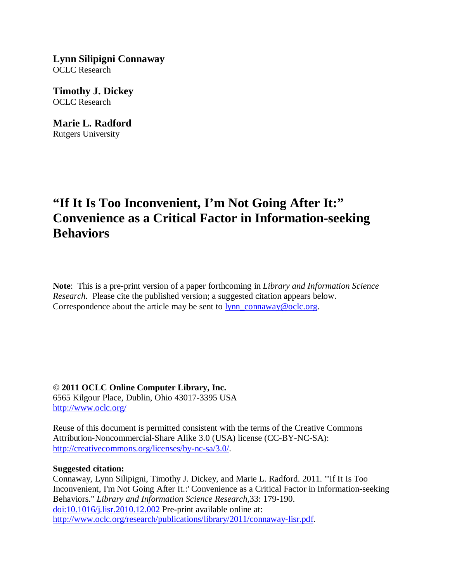**Lynn Silipigni Connaway** OCLC Research

**Timothy J. Dickey** OCLC Research

**Marie L. Radford** Rutgers University

# **"If It Is Too Inconvenient, I'm Not Going After It:" Convenience as a Critical Factor in Information-seeking Behaviors**

**Note**: This is a pre-print version of a paper forthcoming in *Library and Information Science Research*. Please cite the published version; a suggested citation appears below. Correspondence about the article may be sent to  $lynn$  connaway@oclc.org</u>.

**© 2011 OCLC Online Computer Library, Inc.** 6565 Kilgour Place, Dublin, Ohio 43017-3395 USA <http://www.oclc.org/>

Reuse of this document is permitted consistent with the terms of the Creative Commons Attribution-Noncommercial-Share Alike 3.0 (USA) license (CC-BY-NC-SA): [http://creativecommons.org/licenses/by-nc-sa/3.0/.](http://creativecommons.org/licenses/by-nc-sa/3.0/)

#### **Suggested citation:**

Connaway, Lynn Silipigni, Timothy J. Dickey, and Marie L. Radford. 2011. "'If It Is Too Inconvenient, I'm Not Going After It.:' Convenience as a Critical Factor in Information-seeking Behaviors." *Library and Information Science Research,*33: 179-190. [doi:10.1016/j.lisr.2010.12.002](http://dx.doi.org/10.1016/j.lisr.2010.12.002) Pre-print available online at: [http://www.oclc.org/research/publications/library/2011/connaway-lisr.pdf.](http://www.oclc.org/research/publications/library/2011/connaway-lisr.pdf)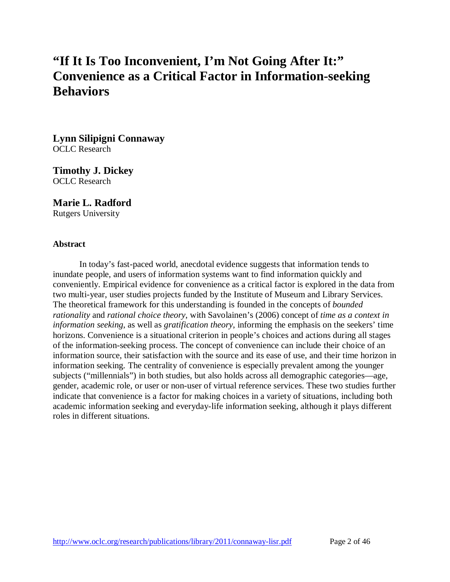# **"If It Is Too Inconvenient, I'm Not Going After It:" Convenience as a Critical Factor in Information-seeking Behaviors**

**Lynn Silipigni Connaway** OCLC Research

**Timothy J. Dickey** OCLC Research

**Marie L. Radford** Rutgers University

#### **Abstract**

In today's fast-paced world, anecdotal evidence suggests that information tends to inundate people, and users of information systems want to find information quickly and conveniently. Empirical evidence for convenience as a critical factor is explored in the data from two multi-year, user studies projects funded by the Institute of Museum and Library Services. The theoretical framework for this understanding is founded in the concepts of *bounded rationality* and *rational choice theory*, with Savolainen's (2006) concept of *time as a context in information seeking*, as well as *gratification theory*, informing the emphasis on the seekers' time horizons. Convenience is a situational criterion in people's choices and actions during all stages of the information-seeking process. The concept of convenience can include their choice of an information source, their satisfaction with the source and its ease of use, and their time horizon in information seeking. The centrality of convenience is especially prevalent among the younger subjects ("millennials") in both studies, but also holds across all demographic categories—age, gender, academic role, or user or non-user of virtual reference services. These two studies further indicate that convenience is a factor for making choices in a variety of situations, including both academic information seeking and everyday-life information seeking, although it plays different roles in different situations.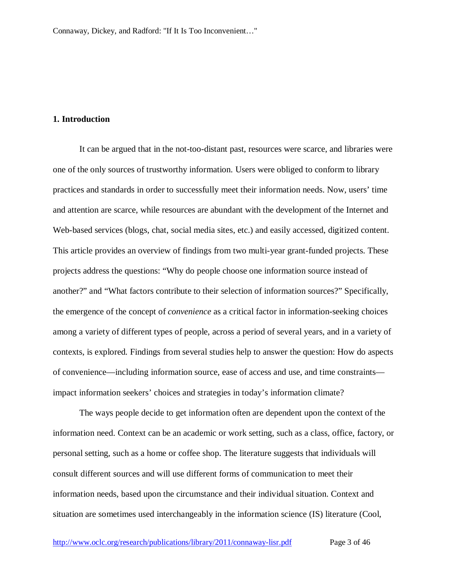#### **1. Introduction**

It can be argued that in the not-too-distant past, resources were scarce, and libraries were one of the only sources of trustworthy information. Users were obliged to conform to library practices and standards in order to successfully meet their information needs. Now, users' time and attention are scarce, while resources are abundant with the development of the Internet and Web-based services (blogs, chat, social media sites, etc.) and easily accessed, digitized content. This article provides an overview of findings from two multi-year grant-funded projects. These projects address the questions: "Why do people choose one information source instead of another?" and "What factors contribute to their selection of information sources?" Specifically, the emergence of the concept of *convenience* as a critical factor in information-seeking choices among a variety of different types of people, across a period of several years, and in a variety of contexts, is explored. Findings from several studies help to answer the question: How do aspects of convenience—including information source, ease of access and use, and time constraints impact information seekers' choices and strategies in today's information climate?

The ways people decide to get information often are dependent upon the context of the information need. Context can be an academic or work setting, such as a class, office, factory, or personal setting, such as a home or coffee shop. The literature suggests that individuals will consult different sources and will use different forms of communication to meet their information needs, based upon the circumstance and their individual situation. Context and situation are sometimes used interchangeably in the information science (IS) literature (Cool,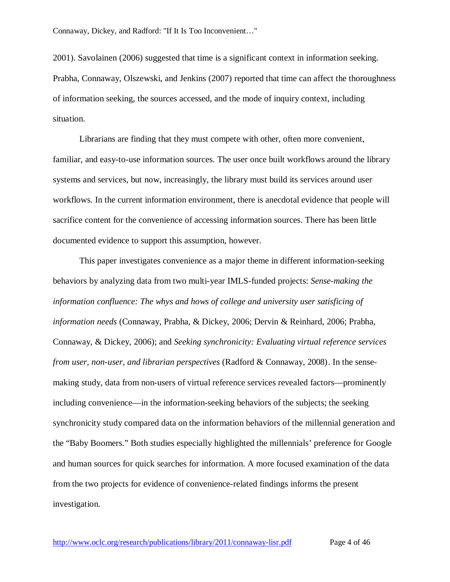2001). Savolainen (2006) suggested that time is a significant context in information seeking. Prabha, Connaway, Olszewski, and Jenkins (2007) reported that time can affect the thoroughness of information seeking, the sources accessed, and the mode of inquiry context, including situation.

Librarians are finding that they must compete with other, often more convenient, familiar, and easy-to-use information sources. The user once built workflows around the library systems and services, but now, increasingly, the library must build its services around user workflows. In the current information environment, there is anecdotal evidence that people will sacrifice content for the convenience of accessing information sources. There has been little documented evidence to support this assumption, however.

This paper investigates convenience as a major theme in different information-seeking behaviors by analyzing data from two multi-year IMLS-funded projects: *Sense-making the information confluence: The whys and hows of college and university user satisficing of information needs* (Connaway, Prabha, & Dickey, 2006; Dervin & Reinhard, 2006; Prabha, Connaway, & Dickey, 2006); and *Seeking synchronicity: Evaluating virtual reference services from user, non-user, and librarian perspectives* (Radford & Connaway, 2008). In the sensemaking study, data from non-users of virtual reference services revealed factors—prominently including convenience—in the information-seeking behaviors of the subjects; the seeking synchronicity study compared data on the information behaviors of the millennial generation and the "Baby Boomers." Both studies especially highlighted the millennials' preference for Google and human sources for quick searches for information. A more focused examination of the data from the two projects for evidence of convenience-related findings informs the present investigation.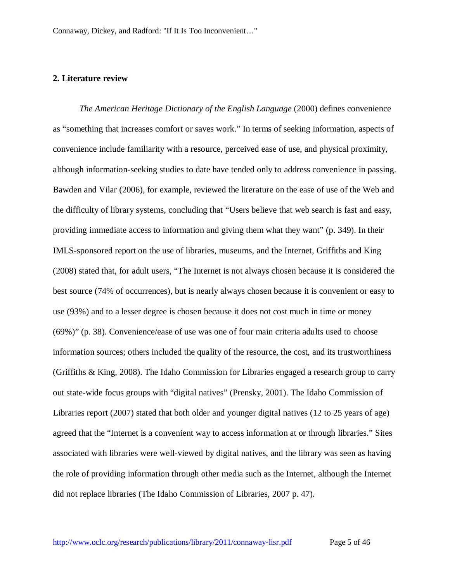#### **2. Literature review**

*The American Heritage Dictionary of the English Language* (2000) defines convenience as "something that increases comfort or saves work." In terms of seeking information, aspects of convenience include familiarity with a resource, perceived ease of use, and physical proximity, although information-seeking studies to date have tended only to address convenience in passing. Bawden and Vilar (2006), for example, reviewed the literature on the ease of use of the Web and the difficulty of library systems, concluding that "Users believe that web search is fast and easy, providing immediate access to information and giving them what they want" (p. 349). In their IMLS-sponsored report on the use of libraries, museums, and the Internet, Griffiths and King (2008) stated that, for adult users, "The Internet is not always chosen because it is considered the best source (74% of occurrences), but is nearly always chosen because it is convenient or easy to use (93%) and to a lesser degree is chosen because it does not cost much in time or money (69%)" (p. 38). Convenience/ease of use was one of four main criteria adults used to choose information sources; others included the quality of the resource, the cost, and its trustworthiness (Griffiths & King, 2008). The Idaho Commission for Libraries engaged a research group to carry out state-wide focus groups with "digital natives" (Prensky, 2001). The Idaho Commission of Libraries report (2007) stated that both older and younger digital natives (12 to 25 years of age) agreed that the "Internet is a convenient way to access information at or through libraries." Sites associated with libraries were well-viewed by digital natives, and the library was seen as having the role of providing information through other media such as the Internet, although the Internet did not replace libraries (The Idaho Commission of Libraries, 2007 p. 47).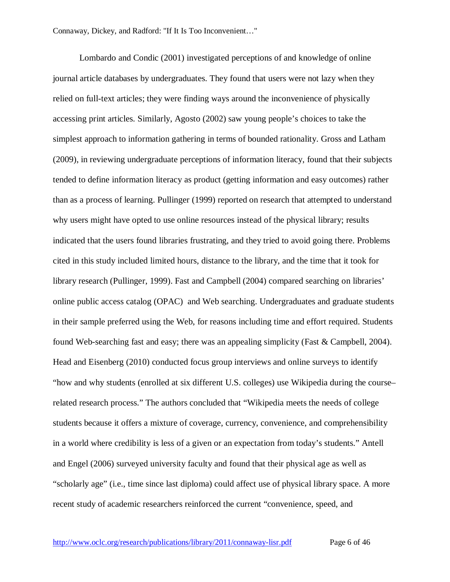Lombardo and Condic (2001) investigated perceptions of and knowledge of online journal article databases by undergraduates. They found that users were not lazy when they relied on full-text articles; they were finding ways around the inconvenience of physically accessing print articles. Similarly, Agosto (2002) saw young people's choices to take the simplest approach to information gathering in terms of bounded rationality. Gross and Latham (2009), in reviewing undergraduate perceptions of information literacy, found that their subjects tended to define information literacy as product (getting information and easy outcomes) rather than as a process of learning. Pullinger (1999) reported on research that attempted to understand why users might have opted to use online resources instead of the physical library; results indicated that the users found libraries frustrating, and they tried to avoid going there. Problems cited in this study included limited hours, distance to the library, and the time that it took for library research (Pullinger, 1999). Fast and Campbell (2004) compared searching on libraries' online public access catalog (OPAC) and Web searching. Undergraduates and graduate students in their sample preferred using the Web, for reasons including time and effort required. Students found Web-searching fast and easy; there was an appealing simplicity (Fast & Campbell, 2004). Head and Eisenberg (2010) conducted focus group interviews and online surveys to identify "how and why students (enrolled at six different U.S. colleges) use Wikipedia during the course– related research process." The authors concluded that "Wikipedia meets the needs of college students because it offers a mixture of coverage, currency, convenience, and comprehensibility in a world where credibility is less of a given or an expectation from today's students." Antell and Engel (2006) surveyed university faculty and found that their physical age as well as "scholarly age" (i.e., time since last diploma) could affect use of physical library space. A more recent study of academic researchers reinforced the current "convenience, speed, and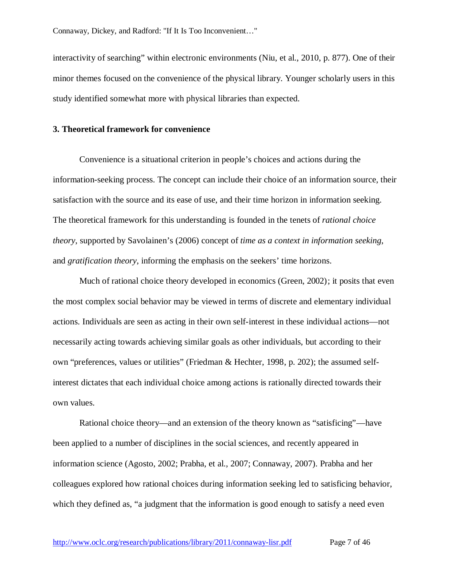interactivity of searching" within electronic environments (Niu, et al., 2010, p. 877). One of their minor themes focused on the convenience of the physical library. Younger scholarly users in this study identified somewhat more with physical libraries than expected.

#### **3. Theoretical framework for convenience**

Convenience is a situational criterion in people's choices and actions during the information-seeking process. The concept can include their choice of an information source, their satisfaction with the source and its ease of use, and their time horizon in information seeking. The theoretical framework for this understanding is founded in the tenets of *rational choice theory*, supported by Savolainen's (2006) concept of *time as a context in information seeking*, and *gratification theory*, informing the emphasis on the seekers' time horizons.

Much of rational choice theory developed in economics (Green, 2002); it posits that even the most complex social behavior may be viewed in terms of discrete and elementary individual actions. Individuals are seen as acting in their own self-interest in these individual actions—not necessarily acting towards achieving similar goals as other individuals, but according to their own "preferences, values or utilities" (Friedman & Hechter, 1998, p. 202); the assumed selfinterest dictates that each individual choice among actions is rationally directed towards their own values.

Rational choice theory—and an extension of the theory known as "satisficing"—have been applied to a number of disciplines in the social sciences, and recently appeared in information science (Agosto, 2002; Prabha, et al., 2007; Connaway, 2007). Prabha and her colleagues explored how rational choices during information seeking led to satisficing behavior, which they defined as, "a judgment that the information is good enough to satisfy a need even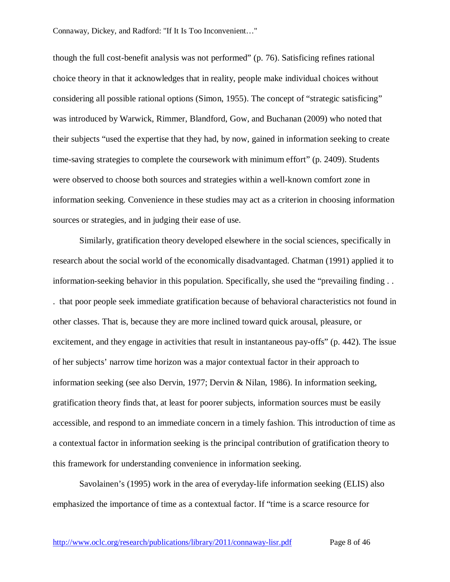though the full cost-benefit analysis was not performed" (p. 76). Satisficing refines rational choice theory in that it acknowledges that in reality, people make individual choices without considering all possible rational options (Simon, 1955). The concept of "strategic satisficing" was introduced by Warwick, Rimmer, Blandford, Gow, and Buchanan (2009) who noted that their subjects "used the expertise that they had, by now, gained in information seeking to create time-saving strategies to complete the coursework with minimum effort" (p. 2409). Students were observed to choose both sources and strategies within a well-known comfort zone in information seeking. Convenience in these studies may act as a criterion in choosing information sources or strategies, and in judging their ease of use.

Similarly, gratification theory developed elsewhere in the social sciences, specifically in research about the social world of the economically disadvantaged. Chatman (1991) applied it to information-seeking behavior in this population. Specifically, she used the "prevailing finding . . . that poor people seek immediate gratification because of behavioral characteristics not found in other classes. That is, because they are more inclined toward quick arousal, pleasure, or excitement, and they engage in activities that result in instantaneous pay-offs" (p. 442). The issue of her subjects' narrow time horizon was a major contextual factor in their approach to information seeking (see also Dervin, 1977; Dervin & Nilan, 1986). In information seeking, gratification theory finds that, at least for poorer subjects, information sources must be easily accessible, and respond to an immediate concern in a timely fashion. This introduction of time as a contextual factor in information seeking is the principal contribution of gratification theory to this framework for understanding convenience in information seeking.

Savolainen's (1995) work in the area of everyday-life information seeking (ELIS) also emphasized the importance of time as a contextual factor. If "time is a scarce resource for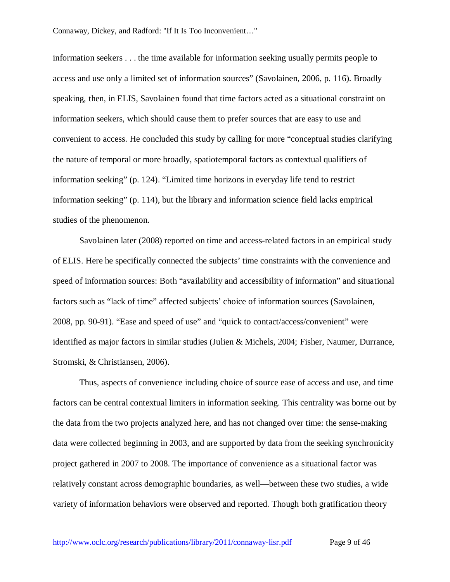information seekers . . . the time available for information seeking usually permits people to access and use only a limited set of information sources" (Savolainen, 2006, p. 116). Broadly speaking, then, in ELIS, Savolainen found that time factors acted as a situational constraint on information seekers, which should cause them to prefer sources that are easy to use and convenient to access. He concluded this study by calling for more "conceptual studies clarifying the nature of temporal or more broadly, spatiotemporal factors as contextual qualifiers of information seeking" (p. 124). "Limited time horizons in everyday life tend to restrict information seeking" (p. 114), but the library and information science field lacks empirical studies of the phenomenon.

Savolainen later (2008) reported on time and access-related factors in an empirical study of ELIS. Here he specifically connected the subjects' time constraints with the convenience and speed of information sources: Both "availability and accessibility of information" and situational factors such as "lack of time" affected subjects' choice of information sources (Savolainen, 2008, pp. 90-91). "Ease and speed of use" and "quick to contact/access/convenient" were identified as major factors in similar studies (Julien & Michels, 2004; Fisher, Naumer, Durrance, Stromski, & Christiansen, 2006).

Thus, aspects of convenience including choice of source ease of access and use, and time factors can be central contextual limiters in information seeking. This centrality was borne out by the data from the two projects analyzed here, and has not changed over time: the sense-making data were collected beginning in 2003, and are supported by data from the seeking synchronicity project gathered in 2007 to 2008. The importance of convenience as a situational factor was relatively constant across demographic boundaries, as well—between these two studies, a wide variety of information behaviors were observed and reported. Though both gratification theory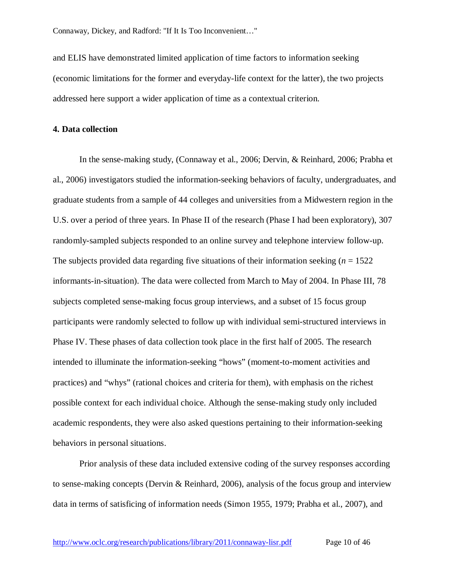and ELIS have demonstrated limited application of time factors to information seeking (economic limitations for the former and everyday-life context for the latter), the two projects addressed here support a wider application of time as a contextual criterion.

#### **4. Data collection**

In the sense-making study, (Connaway et al., 2006; Dervin, & Reinhard, 2006; Prabha et al., 2006) investigators studied the information-seeking behaviors of faculty, undergraduates, and graduate students from a sample of 44 colleges and universities from a Midwestern region in the U.S. over a period of three years. In Phase II of the research (Phase I had been exploratory), 307 randomly-sampled subjects responded to an online survey and telephone interview follow-up. The subjects provided data regarding five situations of their information seeking  $(n = 1522)$ informants-in-situation). The data were collected from March to May of 2004. In Phase III, 78 subjects completed sense-making focus group interviews, and a subset of 15 focus group participants were randomly selected to follow up with individual semi-structured interviews in Phase IV. These phases of data collection took place in the first half of 2005. The research intended to illuminate the information-seeking "hows" (moment-to-moment activities and practices) and "whys" (rational choices and criteria for them), with emphasis on the richest possible context for each individual choice. Although the sense-making study only included academic respondents, they were also asked questions pertaining to their information-seeking behaviors in personal situations.

Prior analysis of these data included extensive coding of the survey responses according to sense-making concepts (Dervin & Reinhard, 2006), analysis of the focus group and interview data in terms of satisficing of information needs (Simon 1955, 1979; Prabha et al., 2007), and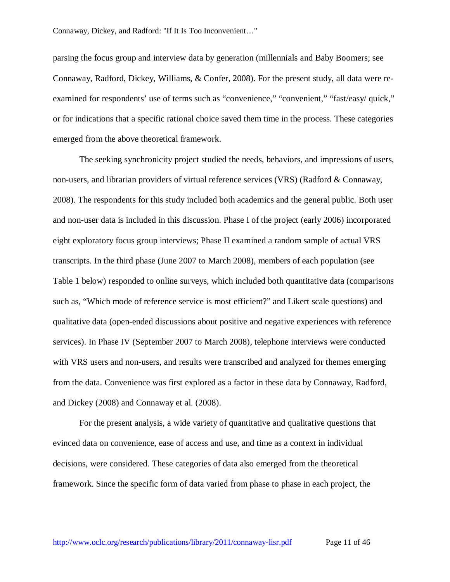parsing the focus group and interview data by generation (millennials and Baby Boomers; see Connaway, Radford, Dickey, Williams, & Confer, 2008). For the present study, all data were reexamined for respondents' use of terms such as "convenience," "convenient," "fast/easy/ quick," or for indications that a specific rational choice saved them time in the process. These categories emerged from the above theoretical framework.

The seeking synchronicity project studied the needs, behaviors, and impressions of users, non-users, and librarian providers of virtual reference services (VRS) (Radford & Connaway, 2008). The respondents for this study included both academics and the general public. Both user and non-user data is included in this discussion. Phase I of the project (early 2006) incorporated eight exploratory focus group interviews; Phase II examined a random sample of actual VRS transcripts. In the third phase (June 2007 to March 2008), members of each population (see Table 1 below) responded to online surveys, which included both quantitative data (comparisons such as, "Which mode of reference service is most efficient?" and Likert scale questions) and qualitative data (open-ended discussions about positive and negative experiences with reference services). In Phase IV (September 2007 to March 2008), telephone interviews were conducted with VRS users and non-users, and results were transcribed and analyzed for themes emerging from the data. Convenience was first explored as a factor in these data by Connaway, Radford, and Dickey (2008) and Connaway et al. (2008).

For the present analysis, a wide variety of quantitative and qualitative questions that evinced data on convenience, ease of access and use, and time as a context in individual decisions, were considered. These categories of data also emerged from the theoretical framework. Since the specific form of data varied from phase to phase in each project, the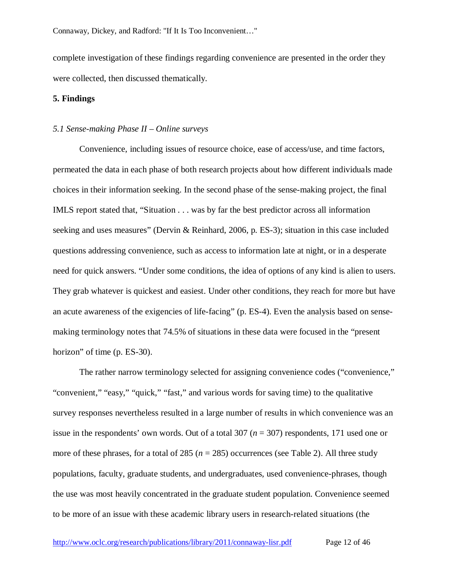complete investigation of these findings regarding convenience are presented in the order they were collected, then discussed thematically.

#### **5. Findings**

#### *5.1 Sense-making Phase II – Online surveys*

Convenience, including issues of resource choice, ease of access/use, and time factors, permeated the data in each phase of both research projects about how different individuals made choices in their information seeking. In the second phase of the sense-making project, the final IMLS report stated that, "Situation . . . was by far the best predictor across all information seeking and uses measures" (Dervin & Reinhard, 2006, p. ES-3); situation in this case included questions addressing convenience, such as access to information late at night, or in a desperate need for quick answers. "Under some conditions, the idea of options of any kind is alien to users. They grab whatever is quickest and easiest. Under other conditions, they reach for more but have an acute awareness of the exigencies of life-facing" (p. ES-4). Even the analysis based on sensemaking terminology notes that 74.5% of situations in these data were focused in the "present horizon" of time (p. ES-30).

The rather narrow terminology selected for assigning convenience codes ("convenience," "convenient," "easy," "quick," "fast," and various words for saving time) to the qualitative survey responses nevertheless resulted in a large number of results in which convenience was an issue in the respondents' own words. Out of a total 307 (*n* = 307) respondents, 171 used one or more of these phrases, for a total of 285 ( $n = 285$ ) occurrences (see Table 2). All three study populations, faculty, graduate students, and undergraduates, used convenience-phrases, though the use was most heavily concentrated in the graduate student population. Convenience seemed to be more of an issue with these academic library users in research-related situations (the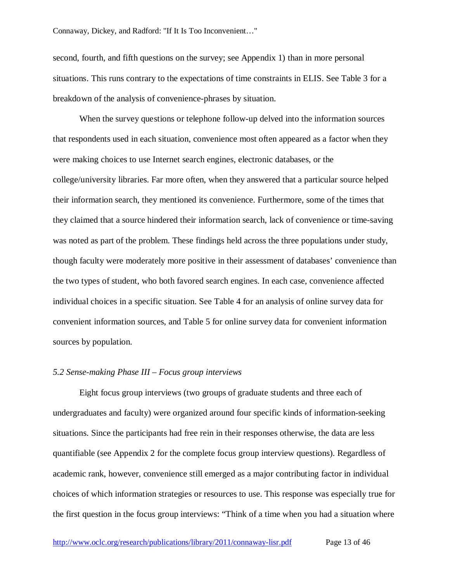second, fourth, and fifth questions on the survey; see Appendix 1) than in more personal situations. This runs contrary to the expectations of time constraints in ELIS. See Table 3 for a breakdown of the analysis of convenience-phrases by situation.

When the survey questions or telephone follow-up delved into the information sources that respondents used in each situation, convenience most often appeared as a factor when they were making choices to use Internet search engines, electronic databases, or the college/university libraries. Far more often, when they answered that a particular source helped their information search, they mentioned its convenience. Furthermore, some of the times that they claimed that a source hindered their information search, lack of convenience or time-saving was noted as part of the problem. These findings held across the three populations under study, though faculty were moderately more positive in their assessment of databases' convenience than the two types of student, who both favored search engines. In each case, convenience affected individual choices in a specific situation. See Table 4 for an analysis of online survey data for convenient information sources, and Table 5 for online survey data for convenient information sources by population.

#### *5.2 Sense-making Phase III – Focus group interviews*

Eight focus group interviews (two groups of graduate students and three each of undergraduates and faculty) were organized around four specific kinds of information-seeking situations. Since the participants had free rein in their responses otherwise, the data are less quantifiable (see Appendix 2 for the complete focus group interview questions). Regardless of academic rank, however, convenience still emerged as a major contributing factor in individual choices of which information strategies or resources to use. This response was especially true for the first question in the focus group interviews: "Think of a time when you had a situation where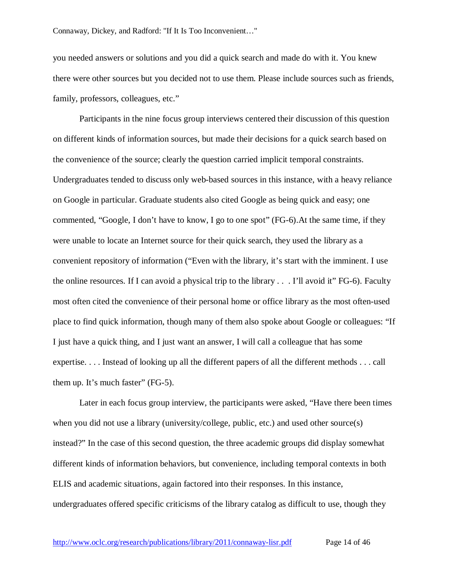you needed answers or solutions and you did a quick search and made do with it. You knew there were other sources but you decided not to use them. Please include sources such as friends, family, professors, colleagues, etc."

Participants in the nine focus group interviews centered their discussion of this question on different kinds of information sources, but made their decisions for a quick search based on the convenience of the source; clearly the question carried implicit temporal constraints. Undergraduates tended to discuss only web-based sources in this instance, with a heavy reliance on Google in particular. Graduate students also cited Google as being quick and easy; one commented, "Google, I don't have to know, I go to one spot" (FG-6).At the same time, if they were unable to locate an Internet source for their quick search, they used the library as a convenient repository of information ("Even with the library, it's start with the imminent. I use the online resources. If I can avoid a physical trip to the library . . . I'll avoid it" FG-6). Faculty most often cited the convenience of their personal home or office library as the most often-used place to find quick information, though many of them also spoke about Google or colleagues: "If I just have a quick thing, and I just want an answer, I will call a colleague that has some expertise. . . . Instead of looking up all the different papers of all the different methods . . . call them up. It's much faster" (FG-5).

Later in each focus group interview, the participants were asked, "Have there been times when you did not use a library (university/college, public, etc.) and used other source(s) instead?" In the case of this second question, the three academic groups did display somewhat different kinds of information behaviors, but convenience, including temporal contexts in both ELIS and academic situations, again factored into their responses. In this instance, undergraduates offered specific criticisms of the library catalog as difficult to use, though they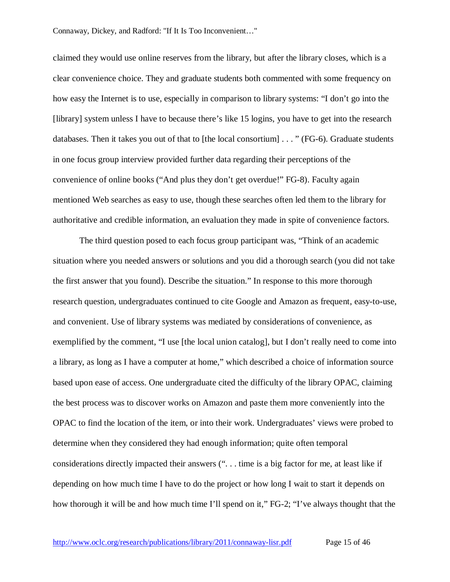claimed they would use online reserves from the library, but after the library closes, which is a clear convenience choice. They and graduate students both commented with some frequency on how easy the Internet is to use, especially in comparison to library systems: "I don't go into the [library] system unless I have to because there's like 15 logins, you have to get into the research databases. Then it takes you out of that to [the local consortium] . . . " (FG-6). Graduate students in one focus group interview provided further data regarding their perceptions of the convenience of online books ("And plus they don't get overdue!" FG-8). Faculty again mentioned Web searches as easy to use, though these searches often led them to the library for authoritative and credible information, an evaluation they made in spite of convenience factors.

The third question posed to each focus group participant was, "Think of an academic situation where you needed answers or solutions and you did a thorough search (you did not take the first answer that you found). Describe the situation." In response to this more thorough research question, undergraduates continued to cite Google and Amazon as frequent, easy-to-use, and convenient. Use of library systems was mediated by considerations of convenience, as exemplified by the comment, "I use [the local union catalog], but I don't really need to come into a library, as long as I have a computer at home," which described a choice of information source based upon ease of access. One undergraduate cited the difficulty of the library OPAC, claiming the best process was to discover works on Amazon and paste them more conveniently into the OPAC to find the location of the item, or into their work. Undergraduates' views were probed to determine when they considered they had enough information; quite often temporal considerations directly impacted their answers (". . . time is a big factor for me, at least like if depending on how much time I have to do the project or how long I wait to start it depends on how thorough it will be and how much time I'll spend on it," FG-2; "I've always thought that the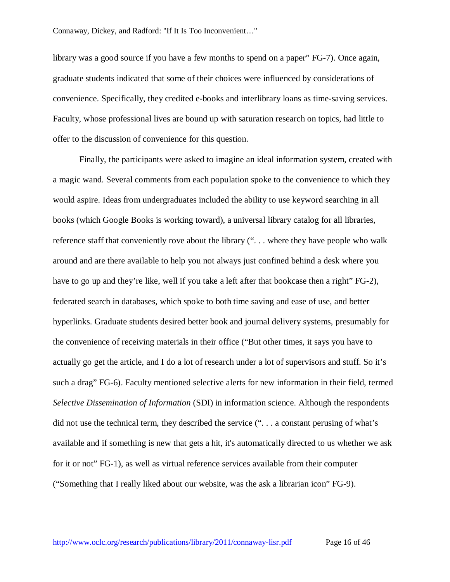library was a good source if you have a few months to spend on a paper" FG-7). Once again, graduate students indicated that some of their choices were influenced by considerations of convenience. Specifically, they credited e-books and interlibrary loans as time-saving services. Faculty, whose professional lives are bound up with saturation research on topics, had little to offer to the discussion of convenience for this question.

Finally, the participants were asked to imagine an ideal information system, created with a magic wand. Several comments from each population spoke to the convenience to which they would aspire. Ideas from undergraduates included the ability to use keyword searching in all books (which Google Books is working toward), a universal library catalog for all libraries, reference staff that conveniently rove about the library (". . . where they have people who walk around and are there available to help you not always just confined behind a desk where you have to go up and they're like, well if you take a left after that bookcase then a right" FG-2), federated search in databases, which spoke to both time saving and ease of use, and better hyperlinks. Graduate students desired better book and journal delivery systems, presumably for the convenience of receiving materials in their office ("But other times, it says you have to actually go get the article, and I do a lot of research under a lot of supervisors and stuff. So it's such a drag" FG-6). Faculty mentioned selective alerts for new information in their field, termed *Selective Dissemination of Information* (SDI) in information science. Although the respondents did not use the technical term, they described the service (". . . a constant perusing of what's available and if something is new that gets a hit, it's automatically directed to us whether we ask for it or not" FG-1), as well as virtual reference services available from their computer ("Something that I really liked about our website, was the ask a librarian icon" FG-9).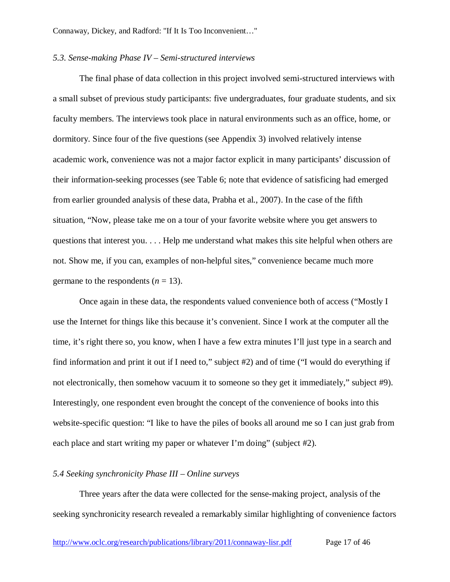#### *5.3. Sense-making Phase IV – Semi-structured interviews*

The final phase of data collection in this project involved semi-structured interviews with a small subset of previous study participants: five undergraduates, four graduate students, and six faculty members. The interviews took place in natural environments such as an office, home, or dormitory. Since four of the five questions (see Appendix 3) involved relatively intense academic work, convenience was not a major factor explicit in many participants' discussion of their information-seeking processes (see Table 6; note that evidence of satisficing had emerged from earlier grounded analysis of these data, Prabha et al., 2007). In the case of the fifth situation, "Now, please take me on a tour of your favorite website where you get answers to questions that interest you. . . . Help me understand what makes this site helpful when others are not. Show me, if you can, examples of non-helpful sites," convenience became much more germane to the respondents  $(n = 13)$ .

Once again in these data, the respondents valued convenience both of access ("Mostly I use the Internet for things like this because it's convenient. Since I work at the computer all the time, it's right there so, you know, when I have a few extra minutes I'll just type in a search and find information and print it out if I need to," subject #2) and of time ("I would do everything if not electronically, then somehow vacuum it to someone so they get it immediately," subject #9). Interestingly, one respondent even brought the concept of the convenience of books into this website-specific question: "I like to have the piles of books all around me so I can just grab from each place and start writing my paper or whatever I'm doing" (subject #2).

#### *5.4 Seeking synchronicity Phase III – Online surveys*

Three years after the data were collected for the sense-making project, analysis of the seeking synchronicity research revealed a remarkably similar highlighting of convenience factors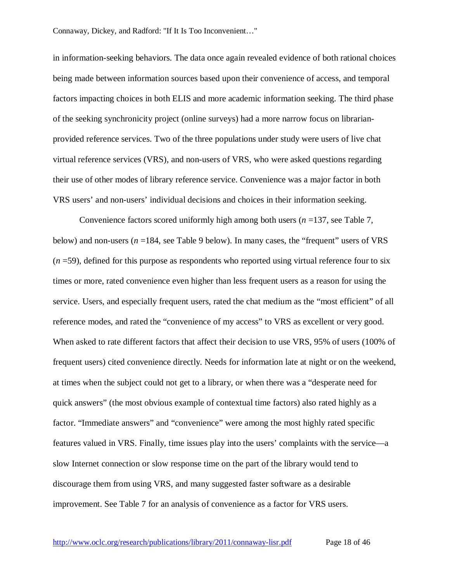in information-seeking behaviors. The data once again revealed evidence of both rational choices being made between information sources based upon their convenience of access, and temporal factors impacting choices in both ELIS and more academic information seeking. The third phase of the seeking synchronicity project (online surveys) had a more narrow focus on librarianprovided reference services. Two of the three populations under study were users of live chat virtual reference services (VRS), and non-users of VRS, who were asked questions regarding their use of other modes of library reference service. Convenience was a major factor in both VRS users' and non-users' individual decisions and choices in their information seeking.

Convenience factors scored uniformly high among both users (*n* =137, see Table 7, below) and non-users (*n* =184, see Table 9 below). In many cases, the "frequent" users of VRS  $(n = 59)$ , defined for this purpose as respondents who reported using virtual reference four to six times or more, rated convenience even higher than less frequent users as a reason for using the service. Users, and especially frequent users, rated the chat medium as the "most efficient" of all reference modes, and rated the "convenience of my access" to VRS as excellent or very good. When asked to rate different factors that affect their decision to use VRS, 95% of users (100% of frequent users) cited convenience directly. Needs for information late at night or on the weekend, at times when the subject could not get to a library, or when there was a "desperate need for quick answers" (the most obvious example of contextual time factors) also rated highly as a factor. "Immediate answers" and "convenience" were among the most highly rated specific features valued in VRS. Finally, time issues play into the users' complaints with the service—a slow Internet connection or slow response time on the part of the library would tend to discourage them from using VRS, and many suggested faster software as a desirable improvement. See Table 7 for an analysis of convenience as a factor for VRS users.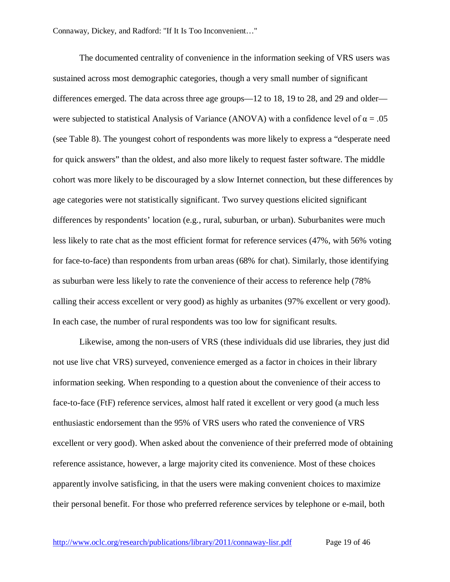The documented centrality of convenience in the information seeking of VRS users was sustained across most demographic categories, though a very small number of significant differences emerged. The data across three age groups—12 to 18, 19 to 28, and 29 and older were subjected to statistical Analysis of Variance (ANOVA) with a confidence level of  $\alpha = .05$ (see Table 8). The youngest cohort of respondents was more likely to express a "desperate need for quick answers" than the oldest, and also more likely to request faster software. The middle cohort was more likely to be discouraged by a slow Internet connection, but these differences by age categories were not statistically significant. Two survey questions elicited significant differences by respondents' location (e.g., rural, suburban, or urban). Suburbanites were much less likely to rate chat as the most efficient format for reference services (47%, with 56% voting for face-to-face) than respondents from urban areas (68% for chat). Similarly, those identifying as suburban were less likely to rate the convenience of their access to reference help (78% calling their access excellent or very good) as highly as urbanites (97% excellent or very good). In each case, the number of rural respondents was too low for significant results.

Likewise, among the non-users of VRS (these individuals did use libraries, they just did not use live chat VRS) surveyed, convenience emerged as a factor in choices in their library information seeking. When responding to a question about the convenience of their access to face-to-face (FtF) reference services, almost half rated it excellent or very good (a much less enthusiastic endorsement than the 95% of VRS users who rated the convenience of VRS excellent or very good). When asked about the convenience of their preferred mode of obtaining reference assistance, however, a large majority cited its convenience. Most of these choices apparently involve satisficing, in that the users were making convenient choices to maximize their personal benefit. For those who preferred reference services by telephone or e-mail, both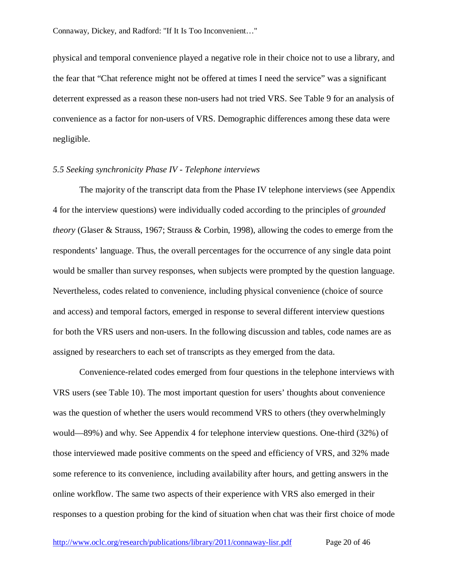physical and temporal convenience played a negative role in their choice not to use a library, and the fear that "Chat reference might not be offered at times I need the service" was a significant deterrent expressed as a reason these non-users had not tried VRS. See Table 9 for an analysis of convenience as a factor for non-users of VRS. Demographic differences among these data were negligible.

#### *5.5 Seeking synchronicity Phase IV - Telephone interviews*

The majority of the transcript data from the Phase IV telephone interviews (see Appendix 4 for the interview questions) were individually coded according to the principles of *grounded theory* (Glaser & Strauss, 1967; Strauss & Corbin, 1998), allowing the codes to emerge from the respondents' language. Thus, the overall percentages for the occurrence of any single data point would be smaller than survey responses, when subjects were prompted by the question language. Nevertheless, codes related to convenience, including physical convenience (choice of source and access) and temporal factors, emerged in response to several different interview questions for both the VRS users and non-users. In the following discussion and tables, code names are as assigned by researchers to each set of transcripts as they emerged from the data.

Convenience-related codes emerged from four questions in the telephone interviews with VRS users (see Table 10). The most important question for users' thoughts about convenience was the question of whether the users would recommend VRS to others (they overwhelmingly would—89%) and why. See Appendix 4 for telephone interview questions. One-third (32%) of those interviewed made positive comments on the speed and efficiency of VRS, and 32% made some reference to its convenience, including availability after hours, and getting answers in the online workflow. The same two aspects of their experience with VRS also emerged in their responses to a question probing for the kind of situation when chat was their first choice of mode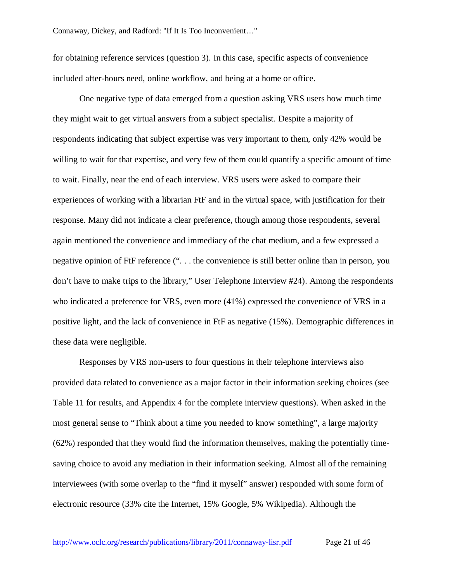for obtaining reference services (question 3). In this case, specific aspects of convenience included after-hours need, online workflow, and being at a home or office.

One negative type of data emerged from a question asking VRS users how much time they might wait to get virtual answers from a subject specialist. Despite a majority of respondents indicating that subject expertise was very important to them, only 42% would be willing to wait for that expertise, and very few of them could quantify a specific amount of time to wait. Finally, near the end of each interview. VRS users were asked to compare their experiences of working with a librarian FtF and in the virtual space, with justification for their response. Many did not indicate a clear preference, though among those respondents, several again mentioned the convenience and immediacy of the chat medium, and a few expressed a negative opinion of FtF reference (". . . the convenience is still better online than in person, you don't have to make trips to the library," User Telephone Interview #24). Among the respondents who indicated a preference for VRS, even more (41%) expressed the convenience of VRS in a positive light, and the lack of convenience in FtF as negative (15%). Demographic differences in these data were negligible.

Responses by VRS non-users to four questions in their telephone interviews also provided data related to convenience as a major factor in their information seeking choices (see Table 11 for results, and Appendix 4 for the complete interview questions). When asked in the most general sense to "Think about a time you needed to know something", a large majority (62%) responded that they would find the information themselves, making the potentially timesaving choice to avoid any mediation in their information seeking. Almost all of the remaining interviewees (with some overlap to the "find it myself" answer) responded with some form of electronic resource (33% cite the Internet, 15% Google, 5% Wikipedia). Although the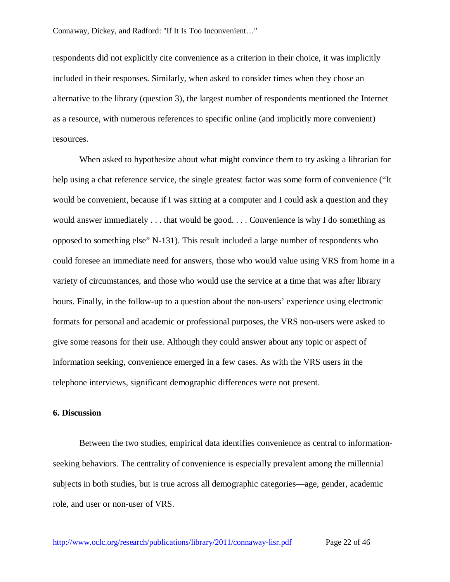respondents did not explicitly cite convenience as a criterion in their choice, it was implicitly included in their responses. Similarly, when asked to consider times when they chose an alternative to the library (question 3), the largest number of respondents mentioned the Internet as a resource, with numerous references to specific online (and implicitly more convenient) resources.

When asked to hypothesize about what might convince them to try asking a librarian for help using a chat reference service, the single greatest factor was some form of convenience ("It would be convenient, because if I was sitting at a computer and I could ask a question and they would answer immediately . . . that would be good. . . . Convenience is why I do something as opposed to something else" N-131). This result included a large number of respondents who could foresee an immediate need for answers, those who would value using VRS from home in a variety of circumstances, and those who would use the service at a time that was after library hours. Finally, in the follow-up to a question about the non-users' experience using electronic formats for personal and academic or professional purposes, the VRS non-users were asked to give some reasons for their use. Although they could answer about any topic or aspect of information seeking, convenience emerged in a few cases. As with the VRS users in the telephone interviews, significant demographic differences were not present.

#### **6. Discussion**

Between the two studies, empirical data identifies convenience as central to informationseeking behaviors. The centrality of convenience is especially prevalent among the millennial subjects in both studies, but is true across all demographic categories—age, gender, academic role, and user or non-user of VRS.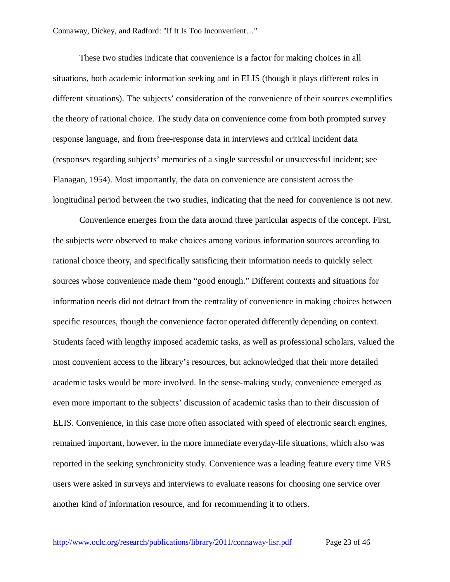These two studies indicate that convenience is a factor for making choices in all situations, both academic information seeking and in ELIS (though it plays different roles in different situations). The subjects' consideration of the convenience of their sources exemplifies the theory of rational choice. The study data on convenience come from both prompted survey response language, and from free-response data in interviews and critical incident data (responses regarding subjects' memories of a single successful or unsuccessful incident; see Flanagan, 1954). Most importantly, the data on convenience are consistent across the longitudinal period between the two studies, indicating that the need for convenience is not new.

Convenience emerges from the data around three particular aspects of the concept. First, the subjects were observed to make choices among various information sources according to rational choice theory, and specifically satisficing their information needs to quickly select sources whose convenience made them "good enough." Different contexts and situations for information needs did not detract from the centrality of convenience in making choices between specific resources, though the convenience factor operated differently depending on context. Students faced with lengthy imposed academic tasks, as well as professional scholars, valued the most convenient access to the library's resources, but acknowledged that their more detailed academic tasks would be more involved. In the sense-making study, convenience emerged as even more important to the subjects' discussion of academic tasks than to their discussion of ELIS. Convenience, in this case more often associated with speed of electronic search engines, remained important, however, in the more immediate everyday-life situations, which also was reported in the seeking synchronicity study. Convenience was a leading feature every time VRS users were asked in surveys and interviews to evaluate reasons for choosing one service over another kind of information resource, and for recommending it to others.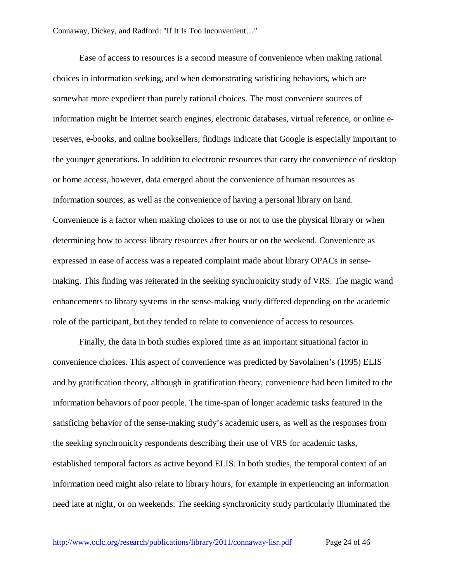Ease of access to resources is a second measure of convenience when making rational choices in information seeking, and when demonstrating satisficing behaviors, which are somewhat more expedient than purely rational choices. The most convenient sources of information might be Internet search engines, electronic databases, virtual reference, or online ereserves, e-books, and online booksellers; findings indicate that Google is especially important to the younger generations. In addition to electronic resources that carry the convenience of desktop or home access, however, data emerged about the convenience of human resources as information sources, as well as the convenience of having a personal library on hand. Convenience is a factor when making choices to use or not to use the physical library or when determining how to access library resources after hours or on the weekend. Convenience as expressed in ease of access was a repeated complaint made about library OPACs in sensemaking. This finding was reiterated in the seeking synchronicity study of VRS. The magic wand enhancements to library systems in the sense-making study differed depending on the academic role of the participant, but they tended to relate to convenience of access to resources.

Finally, the data in both studies explored time as an important situational factor in convenience choices. This aspect of convenience was predicted by Savolainen's (1995) ELIS and by gratification theory, although in gratification theory, convenience had been limited to the information behaviors of poor people. The time-span of longer academic tasks featured in the satisficing behavior of the sense-making study's academic users, as well as the responses from the seeking synchronicity respondents describing their use of VRS for academic tasks, established temporal factors as active beyond ELIS. In both studies, the temporal context of an information need might also relate to library hours, for example in experiencing an information need late at night, or on weekends. The seeking synchronicity study particularly illuminated the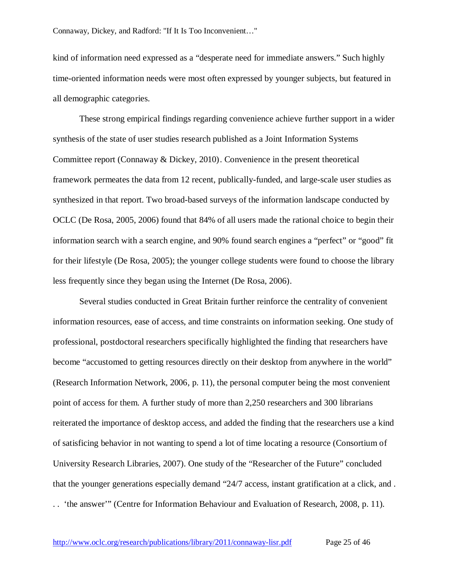kind of information need expressed as a "desperate need for immediate answers." Such highly time-oriented information needs were most often expressed by younger subjects, but featured in all demographic categories.

These strong empirical findings regarding convenience achieve further support in a wider synthesis of the state of user studies research published as a Joint Information Systems Committee report (Connaway & Dickey, 2010). Convenience in the present theoretical framework permeates the data from 12 recent, publically-funded, and large-scale user studies as synthesized in that report. Two broad-based surveys of the information landscape conducted by OCLC (De Rosa, 2005, 2006) found that 84% of all users made the rational choice to begin their information search with a search engine, and 90% found search engines a "perfect" or "good" fit for their lifestyle (De Rosa, 2005); the younger college students were found to choose the library less frequently since they began using the Internet (De Rosa, 2006).

Several studies conducted in Great Britain further reinforce the centrality of convenient information resources, ease of access, and time constraints on information seeking. One study of professional, postdoctoral researchers specifically highlighted the finding that researchers have become "accustomed to getting resources directly on their desktop from anywhere in the world" (Research Information Network, 2006, p. 11), the personal computer being the most convenient point of access for them. A further study of more than 2,250 researchers and 300 librarians reiterated the importance of desktop access, and added the finding that the researchers use a kind of satisficing behavior in not wanting to spend a lot of time locating a resource (Consortium of University Research Libraries, 2007). One study of the "Researcher of the Future" concluded that the younger generations especially demand "24/7 access, instant gratification at a click, and . . . 'the answer'" (Centre for Information Behaviour and Evaluation of Research, 2008, p. 11).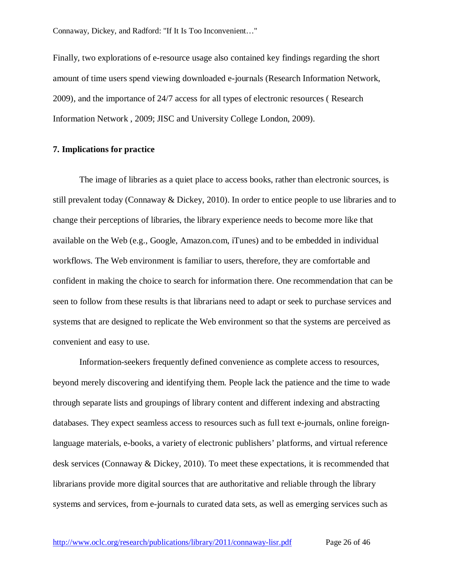Finally, two explorations of e-resource usage also contained key findings regarding the short amount of time users spend viewing downloaded e-journals (Research Information Network, 2009), and the importance of 24/7 access for all types of electronic resources ( Research Information Network , 2009; JISC and University College London, 2009).

#### **7. Implications for practice**

The image of libraries as a quiet place to access books, rather than electronic sources, is still prevalent today (Connaway & Dickey, 2010). In order to entice people to use libraries and to change their perceptions of libraries, the library experience needs to become more like that available on the Web (e.g., Google, Amazon.com, iTunes) and to be embedded in individual workflows. The Web environment is familiar to users, therefore, they are comfortable and confident in making the choice to search for information there. One recommendation that can be seen to follow from these results is that librarians need to adapt or seek to purchase services and systems that are designed to replicate the Web environment so that the systems are perceived as convenient and easy to use.

Information-seekers frequently defined convenience as complete access to resources, beyond merely discovering and identifying them. People lack the patience and the time to wade through separate lists and groupings of library content and different indexing and abstracting databases. They expect seamless access to resources such as full text e-journals, online foreignlanguage materials, e-books, a variety of electronic publishers' platforms, and virtual reference desk services (Connaway & Dickey, 2010). To meet these expectations, it is recommended that librarians provide more digital sources that are authoritative and reliable through the library systems and services, from e-journals to curated data sets, as well as emerging services such as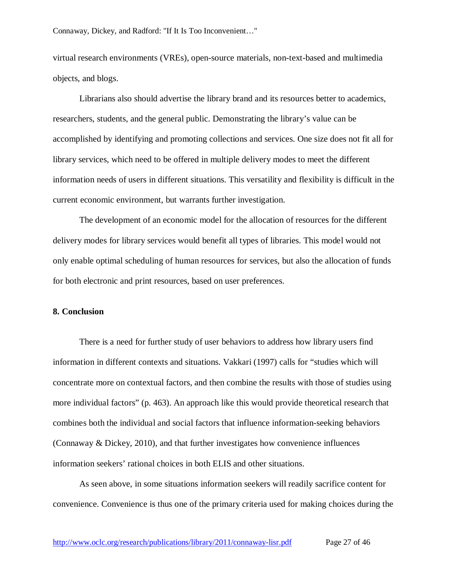virtual research environments (VREs), open-source materials, non-text-based and multimedia objects, and blogs.

Librarians also should advertise the library brand and its resources better to academics, researchers, students, and the general public. Demonstrating the library's value can be accomplished by identifying and promoting collections and services. One size does not fit all for library services, which need to be offered in multiple delivery modes to meet the different information needs of users in different situations. This versatility and flexibility is difficult in the current economic environment, but warrants further investigation.

The development of an economic model for the allocation of resources for the different delivery modes for library services would benefit all types of libraries. This model would not only enable optimal scheduling of human resources for services, but also the allocation of funds for both electronic and print resources, based on user preferences.

#### **8. Conclusion**

There is a need for further study of user behaviors to address how library users find information in different contexts and situations. Vakkari (1997) calls for "studies which will concentrate more on contextual factors, and then combine the results with those of studies using more individual factors" (p. 463). An approach like this would provide theoretical research that combines both the individual and social factors that influence information-seeking behaviors (Connaway & Dickey, 2010), and that further investigates how convenience influences information seekers' rational choices in both ELIS and other situations.

As seen above, in some situations information seekers will readily sacrifice content for convenience. Convenience is thus one of the primary criteria used for making choices during the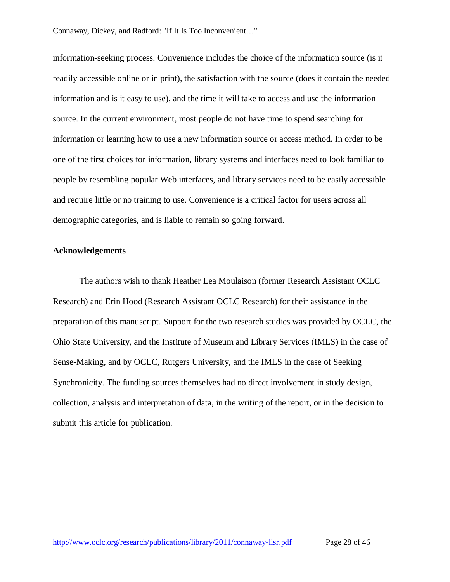information-seeking process. Convenience includes the choice of the information source (is it readily accessible online or in print), the satisfaction with the source (does it contain the needed information and is it easy to use), and the time it will take to access and use the information source. In the current environment, most people do not have time to spend searching for information or learning how to use a new information source or access method. In order to be one of the first choices for information, library systems and interfaces need to look familiar to people by resembling popular Web interfaces, and library services need to be easily accessible and require little or no training to use. Convenience is a critical factor for users across all demographic categories, and is liable to remain so going forward.

#### **Acknowledgements**

The authors wish to thank Heather Lea Moulaison (former Research Assistant OCLC Research) and Erin Hood (Research Assistant OCLC Research) for their assistance in the preparation of this manuscript. Support for the two research studies was provided by OCLC, the Ohio State University, and the Institute of Museum and Library Services (IMLS) in the case of Sense-Making, and by OCLC, Rutgers University, and the IMLS in the case of Seeking Synchronicity. The funding sources themselves had no direct involvement in study design, collection, analysis and interpretation of data, in the writing of the report, or in the decision to submit this article for publication.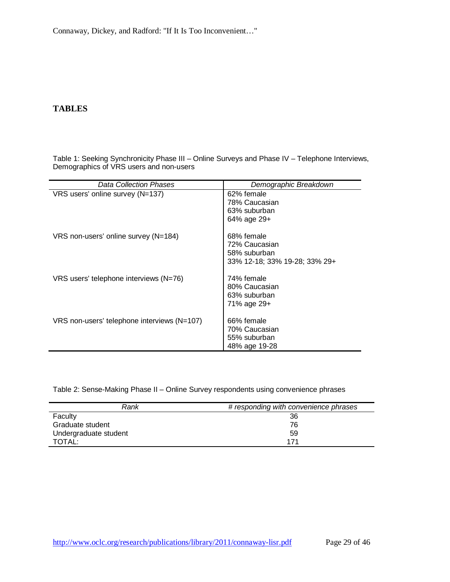### **TABLES**

Table 1: Seeking Synchronicity Phase III – Online Surveys and Phase IV – Telephone Interviews, Demographics of VRS users and non-users

| <b>Data Collection Phases</b>               | Demographic Breakdown                                                        |
|---------------------------------------------|------------------------------------------------------------------------------|
| VRS users' online survey (N=137)            | 62% female<br>78% Caucasian<br>63% suburban<br>64% age 29+                   |
| VRS non-users' online survey (N=184)        | 68% female<br>72% Caucasian<br>58% suburban<br>33% 12-18; 33% 19-28; 33% 29+ |
| VRS users' telephone interviews (N=76)      | 74% female<br>80% Caucasian<br>63% suburban<br>71% age 29+                   |
| VRS non-users' telephone interviews (N=107) | 66% female<br>70% Caucasian<br>55% suburban<br>48% age 19-28                 |

Table 2: Sense-Making Phase II – Online Survey respondents using convenience phrases

| Rank                  | # responding with convenience phrases |
|-----------------------|---------------------------------------|
| Faculty               | 36                                    |
| Graduate student      | 76                                    |
| Undergraduate student | 59                                    |
| TOTAL:                | 171                                   |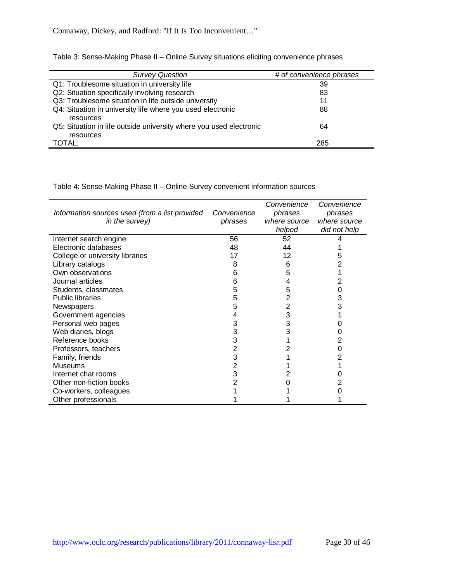| <b>Survey Question</b>                                                          | # of convenience phrases |
|---------------------------------------------------------------------------------|--------------------------|
| Q1: Troublesome situation in university life                                    | 39                       |
| Q2: Situation specifically involving research                                   | 83                       |
| Q3: Troublesome situation in life outside university                            | 11                       |
| Q4: Situation in university life where you used electronic<br>resources         | 88                       |
| Q5: Situation in life outside university where you used electronic<br>resources | 64                       |
| TOTAL:                                                                          | 285                      |

Table 3: Sense-Making Phase II – Online Survey situations eliciting convenience phrases

Table 4: Sense-Making Phase II – Online Survey convenient information sources

| Information sources used (from a list provided<br>in the survey) | Convenience<br>phrases | Convenience<br>phrases<br>where source<br>helped | Convenience<br>phrases<br>where source<br>did not help |
|------------------------------------------------------------------|------------------------|--------------------------------------------------|--------------------------------------------------------|
| Internet search engine                                           | 56                     | 52                                               |                                                        |
| Electronic databases                                             | 48                     | 44                                               |                                                        |
| College or university libraries                                  | 17                     | 12                                               | 5                                                      |
| Library catalogs                                                 | 8                      | 6                                                |                                                        |
| Own observations                                                 | 6                      | 5                                                |                                                        |
| Journal articles                                                 | 6                      |                                                  |                                                        |
| Students, classmates                                             | 5                      | 5                                                | 0                                                      |
| <b>Public libraries</b>                                          | 5                      |                                                  | 3                                                      |
| Newspapers                                                       | 5                      | 2                                                | 3                                                      |
| Government agencies                                              |                        | 3                                                |                                                        |
| Personal web pages                                               | 3                      | 3                                                |                                                        |
| Web diaries, blogs                                               | 3                      |                                                  |                                                        |
| Reference books                                                  | 3                      |                                                  | 2                                                      |
| Professors, teachers                                             | 2                      |                                                  | Ω                                                      |
| Family, friends                                                  | 3                      |                                                  |                                                        |
| <b>Museums</b>                                                   | 2                      |                                                  |                                                        |
| Internet chat rooms                                              | 3                      |                                                  |                                                        |
| Other non-fiction books                                          |                        |                                                  |                                                        |
| Co-workers, colleagues                                           |                        |                                                  |                                                        |
| Other professionals                                              |                        |                                                  |                                                        |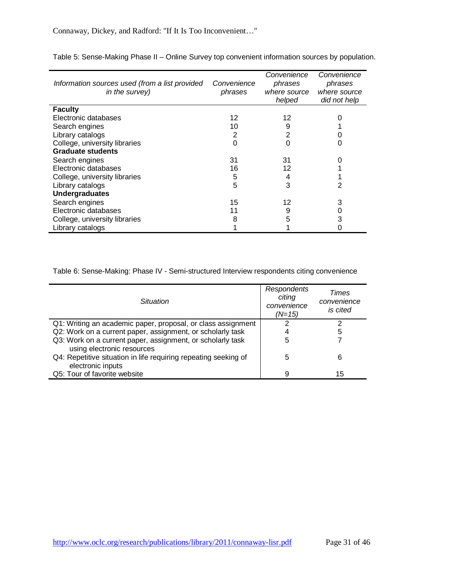*Information sources used (from a list provided in the survey) Convenience phrases Convenience phrases where source helped Convenience phrases where source did not help* **Faculty** Electronic databases and the control of the control of the control of the control of the control of the control of the control of the control of the control of the control of the control of the control of the control of th Search engines and the search engines of the search engines of the search of the search of the search of the search of the search of the search of the search of the search of the search of the search of the search of the s Library catalogs College, university libraries 0 0 0 **Graduate students** Search engines<br>
Electronic databases<br>
16 31 31 0<br>
12 1 Electronic databases and the set of the 16 12 12 15 12 College, university libraries 1<br>
Library catalogs 1<br>
2<br>
2 Library catalogs **Undergraduates** Search engines<br>
Electronic databases<br>
Clectronic databases<br>
Clectronic databases<br>
Clectronic databases<br>
Clectronic databases<br>
Clectronic databases<br>
Clectronic databases<br>
Clectronic databases<br>
Clectronic databases<br>
Clectron Electronic databases 11 9 0 College, university libraries 8 5 3 Library catalogs 1 1 0 0

Connaway, Dickey, and Radford: "If It Is Too Inconvenient…"

Table 5: Sense-Making Phase II – Online Survey top convenient information sources by population.

Table 6: Sense-Making: Phase IV - Semi-structured Interview respondents citing convenience

| Situation                                                       | Respondents<br>citing<br>convenience<br>$(N=15)$ | <b>Times</b><br>convenience<br>is cited |
|-----------------------------------------------------------------|--------------------------------------------------|-----------------------------------------|
| Q1: Writing an academic paper, proposal, or class assignment    | 2                                                | 2                                       |
| Q2: Work on a current paper, assignment, or scholarly task      |                                                  | 5                                       |
| Q3: Work on a current paper, assignment, or scholarly task      | 5                                                |                                         |
| using electronic resources                                      |                                                  |                                         |
| Q4: Repetitive situation in life requiring repeating seeking of | 5                                                | 6                                       |
| electronic inputs                                               |                                                  |                                         |
| Q5: Tour of favorite website                                    | 9                                                | 15                                      |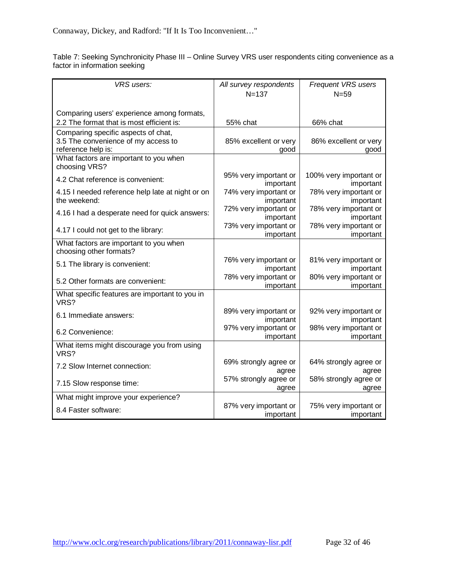Table 7: Seeking Synchronicity Phase III – Online Survey VRS user respondents citing convenience as a factor in information seeking

| <b>VRS</b> users:                                                | All survey respondents             | <b>Frequent VRS users</b>          |
|------------------------------------------------------------------|------------------------------------|------------------------------------|
|                                                                  | $N = 137$                          | $N = 59$                           |
|                                                                  |                                    |                                    |
| Comparing users' experience among formats,                       |                                    |                                    |
| 2.2 The format that is most efficient is:                        | 55% chat                           | 66% chat                           |
| Comparing specific aspects of chat,                              |                                    |                                    |
| 3.5 The convenience of my access to                              | 85% excellent or very              | 86% excellent or very              |
| reference help is:                                               | good                               | good                               |
| What factors are important to you when<br>choosing VRS?          |                                    |                                    |
| 4.2 Chat reference is convenient:                                | 95% very important or              | 100% very important or             |
|                                                                  | important                          | important                          |
| 4.15 I needed reference help late at night or on<br>the weekend: | 74% very important or<br>important | 78% very important or<br>important |
|                                                                  | 72% very important or              | 78% very important or              |
| 4.16 I had a desperate need for quick answers:                   | important                          | important                          |
|                                                                  | 73% very important or              | 78% very important or              |
| 4.17 I could not get to the library:                             | important                          | important                          |
| What factors are important to you when                           |                                    |                                    |
| choosing other formats?                                          |                                    |                                    |
| 5.1 The library is convenient:                                   | 76% very important or              | 81% very important or              |
|                                                                  | important<br>78% very important or | important<br>80% very important or |
| 5.2 Other formats are convenient:                                | important                          | important                          |
| What specific features are important to you in                   |                                    |                                    |
| VRS?                                                             |                                    |                                    |
| 6.1 Immediate answers:                                           | 89% very important or              | 92% very important or              |
|                                                                  | important                          | important                          |
| 6.2 Convenience:                                                 | 97% very important or              | 98% very important or              |
|                                                                  | important                          | important                          |
| What items might discourage you from using<br>VRS?               |                                    |                                    |
| 7.2 Slow Internet connection:                                    | 69% strongly agree or<br>agree     | 64% strongly agree or<br>agree     |
| 7.15 Slow response time:                                         | 57% strongly agree or              | 58% strongly agree or              |
|                                                                  | agree                              | agree                              |
| What might improve your experience?                              |                                    |                                    |
| 8.4 Faster software:                                             | 87% very important or              | 75% very important or              |
|                                                                  | important                          | important                          |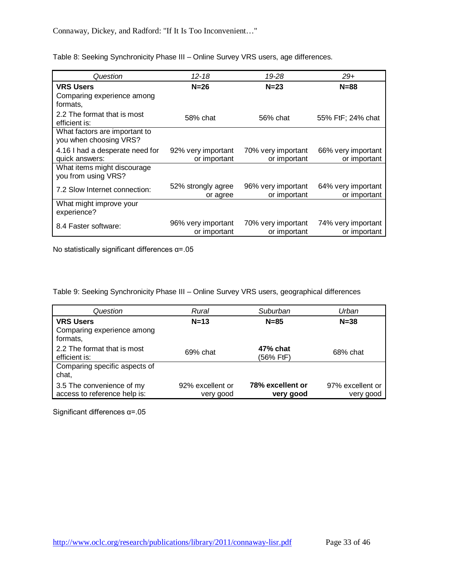Table 8: Seeking Synchronicity Phase III – Online Survey VRS users, age differences.

| Question                                                   | $12 - 18$                          | 19-28                              | $29+$                              |  |
|------------------------------------------------------------|------------------------------------|------------------------------------|------------------------------------|--|
| <b>VRS Users</b><br>Comparing experience among<br>formats, | $N=26$                             | $N=23$                             | $N = 88$                           |  |
| 2.2 The format that is most<br>efficient is:               | 58% chat                           | 56% chat                           | 55% FtF; 24% chat                  |  |
| What factors are important to<br>you when choosing VRS?    |                                    |                                    |                                    |  |
| 4.16 I had a desperate need for<br>quick answers:          | 92% very important<br>or important | 70% very important<br>or important | 66% very important<br>or important |  |
| What items might discourage<br>you from using VRS?         |                                    |                                    |                                    |  |
| 7.2 Slow Internet connection:                              | 52% strongly agree<br>or agree     | 96% very important<br>or important | 64% very important<br>or important |  |
| What might improve your<br>experience?                     |                                    |                                    |                                    |  |
| 8.4 Faster software:                                       | 96% very important<br>or important | 70% very important<br>or important | 74% very important<br>or important |  |

No statistically significant differences  $\alpha$ =.05

Table 9: Seeking Synchronicity Phase III – Online Survey VRS users, geographical differences

| Question                                                   | Rural                         | Suburban                      | Urban                         |
|------------------------------------------------------------|-------------------------------|-------------------------------|-------------------------------|
| <b>VRS Users</b><br>Comparing experience among<br>formats, | $N=13$                        | $N = 85$                      | $N = 38$                      |
| 2.2 The format that is most<br>efficient is:               | 69% chat                      | 47% chat<br>(56% FtF)         | 68% chat                      |
| Comparing specific aspects of<br>chat,                     |                               |                               |                               |
| 3.5 The convenience of my<br>access to reference help is:  | 92% excellent or<br>very good | 78% excellent or<br>very good | 97% excellent or<br>very good |

Significant differences α=.05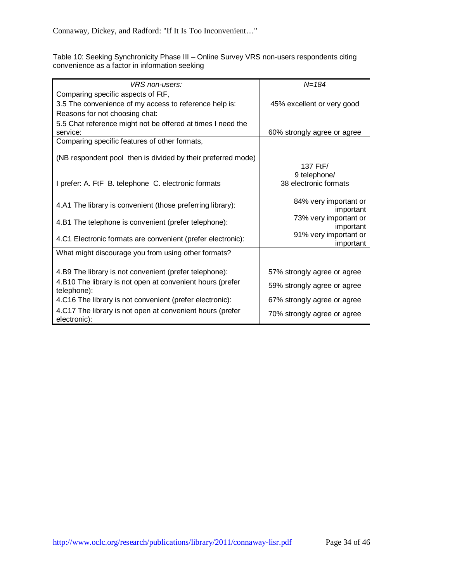Table 10: Seeking Synchronicity Phase III – Online Survey VRS non-users respondents citing convenience as a factor in information seeking

| VRS non-users:                                                            | $N = 184$                             |
|---------------------------------------------------------------------------|---------------------------------------|
| Comparing specific aspects of FtF,                                        |                                       |
| 3.5 The convenience of my access to reference help is:                    | 45% excellent or very good            |
| Reasons for not choosing chat:                                            |                                       |
| 5.5 Chat reference might not be offered at times I need the<br>service:   | 60% strongly agree or agree           |
| Comparing specific features of other formats,                             |                                       |
| (NB respondent pool then is divided by their preferred mode)              | 137 FtF/                              |
| I prefer: A. FtF B. telephone C. electronic formats                       | 9 telephone/<br>38 electronic formats |
| 4.A1 The library is convenient (those preferring library):                | 84% very important or<br>important    |
| 4.B1 The telephone is convenient (prefer telephone):                      | 73% very important or<br>important    |
| 4.C1 Electronic formats are convenient (prefer electronic):               | 91% very important or<br>important    |
| What might discourage you from using other formats?                       |                                       |
| 4.B9 The library is not convenient (prefer telephone):                    | 57% strongly agree or agree           |
| 4.B10 The library is not open at convenient hours (prefer<br>telephone):  | 59% strongly agree or agree           |
| 4.C16 The library is not convenient (prefer electronic):                  | 67% strongly agree or agree           |
| 4.C17 The library is not open at convenient hours (prefer<br>electronic): | 70% strongly agree or agree           |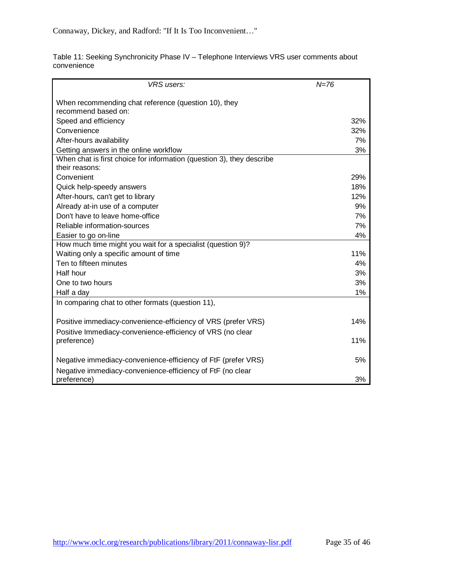Table 11: Seeking Synchronicity Phase IV – Telephone Interviews VRS user comments about convenience

| VRS users:                                                                | $N = 76$ |
|---------------------------------------------------------------------------|----------|
| When recommending chat reference (question 10), they                      |          |
| recommend based on:                                                       |          |
| Speed and efficiency                                                      | 32%      |
| Convenience                                                               | 32%      |
| After-hours availability                                                  | 7%       |
| Getting answers in the online workflow                                    | 3%       |
| When chat is first choice for information (question 3), they describe     |          |
| their reasons:                                                            |          |
| Convenient                                                                | 29%      |
| Quick help-speedy answers                                                 | 18%      |
| After-hours, can't get to library                                         | 12%      |
| Already at-in use of a computer                                           | 9%       |
| Don't have to leave home-office                                           | 7%       |
| Reliable information-sources                                              | 7%       |
| Easier to go on-line                                                      | 4%       |
| How much time might you wait for a specialist (question 9)?               |          |
| Waiting only a specific amount of time                                    | 11%      |
| Ten to fifteen minutes                                                    | 4%       |
| Half hour                                                                 | 3%       |
| One to two hours                                                          | 3%       |
| Half a day                                                                | 1%       |
| In comparing chat to other formats (question 11),                         |          |
| Positive immediacy-convenience-efficiency of VRS (prefer VRS)             | 14%      |
|                                                                           |          |
| Positive Immediacy-convenience-efficiency of VRS (no clear<br>preference) | 11%      |
|                                                                           |          |
| Negative immediacy-convenience-efficiency of FtF (prefer VRS)             | 5%       |
| Negative immediacy-convenience-efficiency of FtF (no clear<br>preference) | 3%       |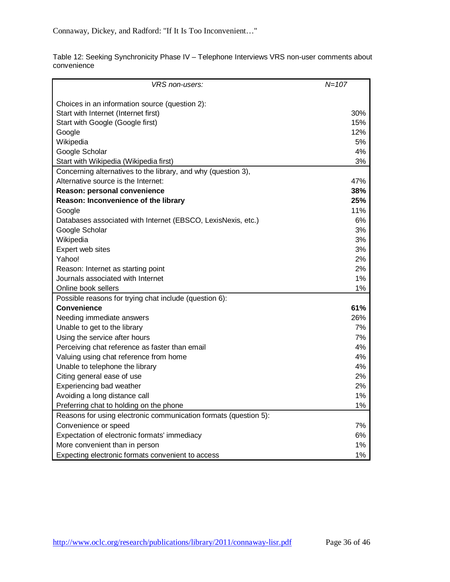Table 12: Seeking Synchronicity Phase IV – Telephone Interviews VRS non-user comments about convenience

| VRS non-users:                                                   | $N = 107$ |
|------------------------------------------------------------------|-----------|
|                                                                  |           |
| Choices in an information source (question 2):                   |           |
| Start with Internet (Internet first)                             | 30%       |
| Start with Google (Google first)                                 | 15%       |
| Google                                                           | 12%       |
| Wikipedia                                                        | 5%        |
| Google Scholar                                                   | 4%        |
| Start with Wikipedia (Wikipedia first)                           | 3%        |
| Concerning alternatives to the library, and why (question 3),    |           |
| Alternative source is the Internet:                              | 47%       |
| Reason: personal convenience                                     | 38%       |
| Reason: Inconvenience of the library                             | 25%       |
| Google                                                           | 11%       |
| Databases associated with Internet (EBSCO, LexisNexis, etc.)     | 6%        |
| Google Scholar                                                   | 3%        |
| Wikipedia                                                        | 3%        |
| Expert web sites                                                 | 3%        |
| Yahoo!                                                           | 2%        |
| Reason: Internet as starting point                               | 2%        |
| Journals associated with Internet                                | 1%        |
| Online book sellers                                              | 1%        |
| Possible reasons for trying chat include (question 6):           |           |
| <b>Convenience</b>                                               | 61%       |
| Needing immediate answers                                        | 26%       |
| Unable to get to the library                                     | 7%        |
| Using the service after hours                                    | 7%        |
| Perceiving chat reference as faster than email                   | 4%        |
| Valuing using chat reference from home                           | 4%        |
| Unable to telephone the library                                  | 4%        |
| Citing general ease of use                                       | 2%        |
| Experiencing bad weather                                         | 2%        |
| Avoiding a long distance call                                    | 1%        |
| Preferring chat to holding on the phone                          | 1%        |
| Reasons for using electronic communication formats (question 5): |           |
| Convenience or speed                                             | 7%        |
| Expectation of electronic formats' immediacy                     | 6%        |
| More convenient than in person                                   | 1%        |
| Expecting electronic formats convenient to access                | 1%        |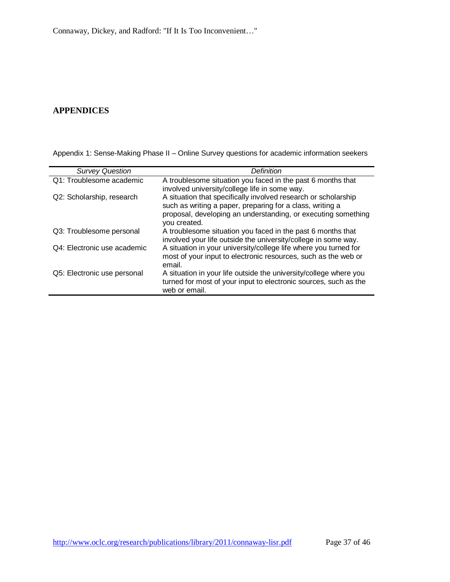## **APPENDICES**

|  |  | Appendix 1: Sense-Making Phase II - Online Survey questions for academic information seekers |  |
|--|--|----------------------------------------------------------------------------------------------|--|
|  |  |                                                                                              |  |

| <b>Survey Question</b>      | Definition                                                                                                                                                                                                   |
|-----------------------------|--------------------------------------------------------------------------------------------------------------------------------------------------------------------------------------------------------------|
| Q1: Troublesome academic    | A troublesome situation you faced in the past 6 months that<br>involved university/college life in some way.                                                                                                 |
| Q2: Scholarship, research   | A situation that specifically involved research or scholarship<br>such as writing a paper, preparing for a class, writing a<br>proposal, developing an understanding, or executing something<br>you created. |
| Q3: Troublesome personal    | A troublesome situation you faced in the past 6 months that<br>involved your life outside the university/college in some way.                                                                                |
| Q4: Electronic use academic | A situation in your university/college life where you turned for<br>most of your input to electronic resources, such as the web or<br>email.                                                                 |
| Q5: Electronic use personal | A situation in your life outside the university/college where you<br>turned for most of your input to electronic sources, such as the<br>web or email.                                                       |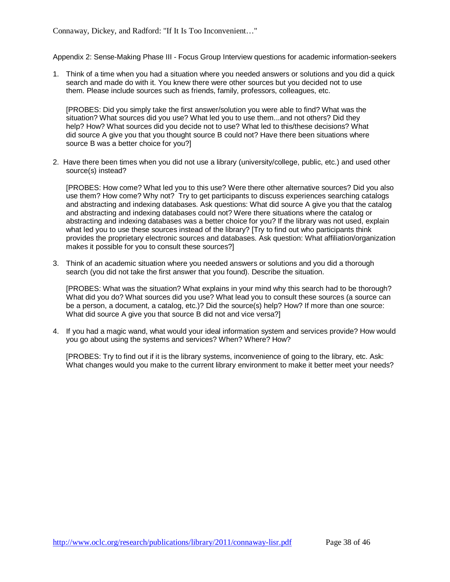Appendix 2: Sense-Making Phase III - Focus Group Interview questions for academic information-seekers

1. Think of a time when you had a situation where you needed answers or solutions and you did a quick search and made do with it. You knew there were other sources but you decided not to use them. Please include sources such as friends, family, professors, colleagues, etc.

[PROBES: Did you simply take the first answer/solution you were able to find? What was the situation? What sources did you use? What led you to use them...and not others? Did they help? How? What sources did you decide not to use? What led to this/these decisions? What did source A give you that you thought source B could not? Have there been situations where source B was a better choice for you?]

2. Have there been times when you did not use a library (university/college, public, etc.) and used other source(s) instead?

[PROBES: How come? What led you to this use? Were there other alternative sources? Did you also use them? How come? Why not? Try to get participants to discuss experiences searching catalogs and abstracting and indexing databases. Ask questions: What did source A give you that the catalog and abstracting and indexing databases could not? Were there situations where the catalog or abstracting and indexing databases was a better choice for you? If the library was not used, explain what led you to use these sources instead of the library? [Try to find out who participants think provides the proprietary electronic sources and databases. Ask question: What affiliation/organization makes it possible for you to consult these sources?]

3. Think of an academic situation where you needed answers or solutions and you did a thorough search (you did not take the first answer that you found). Describe the situation.

[PROBES: What was the situation? What explains in your mind why this search had to be thorough? What did you do? What sources did you use? What lead you to consult these sources (a source can be a person, a document, a catalog, etc.)? Did the source(s) help? How? If more than one source: What did source A give you that source B did not and vice versa?]

4. If you had a magic wand, what would your ideal information system and services provide? How would you go about using the systems and services? When? Where? How?

[PROBES: Try to find out if it is the library systems, inconvenience of going to the library, etc. Ask: What changes would you make to the current library environment to make it better meet your needs?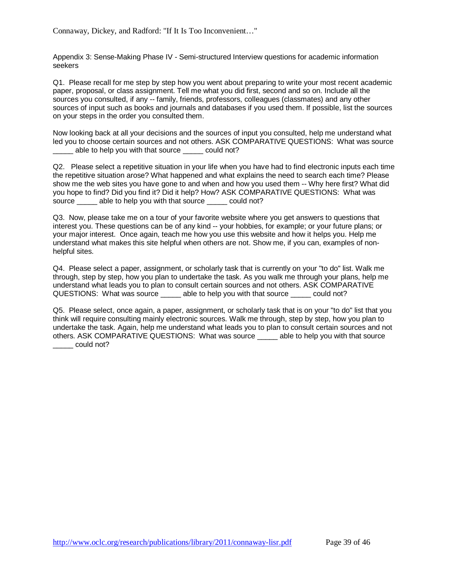Appendix 3: Sense-Making Phase IV - Semi-structured Interview questions for academic information seekers

Q1. Please recall for me step by step how you went about preparing to write your most recent academic paper, proposal, or class assignment. Tell me what you did first, second and so on. Include all the sources you consulted, if any -- family, friends, professors, colleagues (classmates) and any other sources of input such as books and journals and databases if you used them. If possible, list the sources on your steps in the order you consulted them.

Now looking back at all your decisions and the sources of input you consulted, help me understand what led you to choose certain sources and not others. ASK COMPARATIVE QUESTIONS: What was source able to help you with that source equiled not?

Q2. Please select a repetitive situation in your life when you have had to find electronic inputs each time the repetitive situation arose? What happened and what explains the need to search each time? Please show me the web sites you have gone to and when and how you used them -- Why here first? What did you hope to find? Did you find it? Did it help? How? ASK COMPARATIVE QUESTIONS: What was source able to help you with that source could not?

Q3. Now, please take me on a tour of your favorite website where you get answers to questions that interest you. These questions can be of any kind -- your hobbies, for example; or your future plans; or your major interest. Once again, teach me how you use this website and how it helps you. Help me understand what makes this site helpful when others are not. Show me, if you can, examples of nonhelpful sites.

Q4. Please select a paper, assignment, or scholarly task that is currently on your "to do" list. Walk me through, step by step, how you plan to undertake the task. As you walk me through your plans, help me understand what leads you to plan to consult certain sources and not others. ASK COMPARATIVE QUESTIONS: What was source \_\_\_\_\_ able to help you with that source \_\_\_\_\_ could not?

Q5. Please select, once again, a paper, assignment, or scholarly task that is on your "to do" list that you think will require consulting mainly electronic sources. Walk me through, step by step, how you plan to undertake the task. Again, help me understand what leads you to plan to consult certain sources and not others. ASK COMPARATIVE QUESTIONS: What was source \_\_\_\_\_ able to help you with that source \_\_\_\_\_ could not?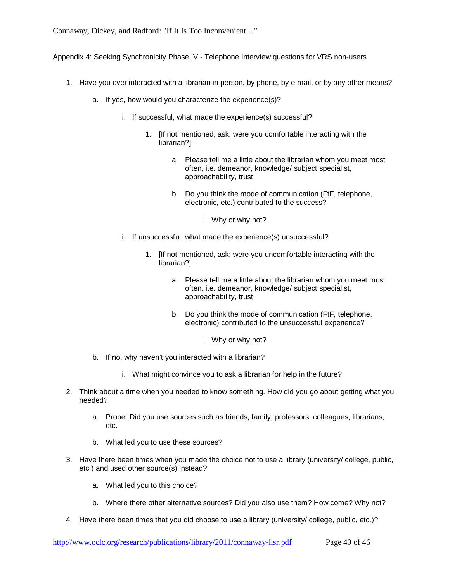Appendix 4: Seeking Synchronicity Phase IV - Telephone Interview questions for VRS non-users

- 1. Have you ever interacted with a librarian in person, by phone, by e-mail, or by any other means?
	- a. If yes, how would you characterize the experience(s)?
		- i. If successful, what made the experience(s) successful?
			- 1. [If not mentioned, ask: were you comfortable interacting with the librarian?]
				- a. Please tell me a little about the librarian whom you meet most often, i.e. demeanor, knowledge/ subject specialist, approachability, trust.
				- b. Do you think the mode of communication (FtF, telephone, electronic, etc.) contributed to the success?
					- i. Why or why not?
		- ii. If unsuccessful, what made the experience(s) unsuccessful?
			- 1. [If not mentioned, ask: were you uncomfortable interacting with the librarian?]
				- a. Please tell me a little about the librarian whom you meet most often, i.e. demeanor, knowledge/ subject specialist, approachability, trust.
				- b. Do you think the mode of communication (FtF, telephone, electronic) contributed to the unsuccessful experience?
					- i. Why or why not?
	- b. If no, why haven't you interacted with a librarian?
		- i. What might convince you to ask a librarian for help in the future?
- 2. Think about a time when you needed to know something. How did you go about getting what you needed?
	- a. Probe: Did you use sources such as friends, family, professors, colleagues, librarians, etc.
	- b. What led you to use these sources?
- 3. Have there been times when you made the choice not to use a library (university/ college, public, etc.) and used other source(s) instead?
	- a. What led you to this choice?
	- b. Where there other alternative sources? Did you also use them? How come? Why not?
- 4. Have there been times that you did choose to use a library (university/ college, public, etc.)?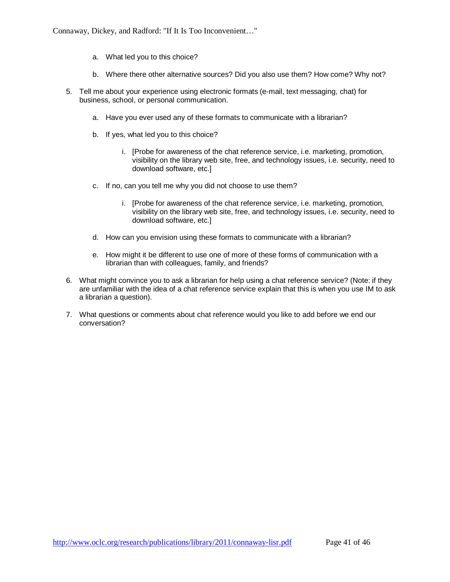- a. What led you to this choice?
- b. Where there other alternative sources? Did you also use them? How come? Why not?
- 5. Tell me about your experience using electronic formats (e-mail, text messaging, chat) for business, school, or personal communication.
	- a. Have you ever used any of these formats to communicate with a librarian?
	- b. If yes, what led you to this choice?
		- i. [Probe for awareness of the chat reference service, i.e. marketing, promotion, visibility on the library web site, free, and technology issues, i.e. security, need to download software, etc.]
	- c. If no, can you tell me why you did not choose to use them?
		- i. [Probe for awareness of the chat reference service, i.e. marketing, promotion, visibility on the library web site, free, and technology issues, i.e. security, need to download software, etc.]
	- d. How can you envision using these formats to communicate with a librarian?
	- e. How might it be different to use one of more of these forms of communication with a librarian than with colleagues, family, and friends?
- 6. What might convince you to ask a librarian for help using a chat reference service? (Note: if they are unfamiliar with the idea of a chat reference service explain that this is when you use IM to ask a librarian a question).
- 7. What questions or comments about chat reference would you like to add before we end our conversation?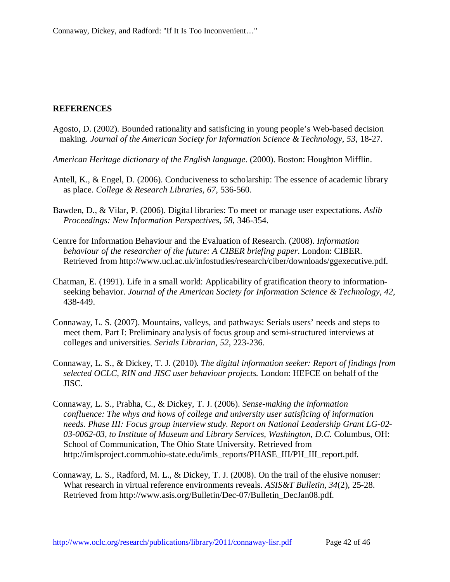### **REFERENCES**

- Agosto, D. (2002). Bounded rationality and satisficing in young people's Web-based decision making. *Journal of the American Society for Information Science & Technology*, *53*, 18-27.
- *American Heritage dictionary of the English language*. (2000). Boston: Houghton Mifflin.
- Antell, K., & Engel, D. (2006). Conduciveness to scholarship: The essence of academic library as place. *College & Research Libraries*, *67*, 536-560.
- Bawden, D., & Vilar, P. (2006). Digital libraries: To meet or manage user expectations. *Aslib Proceedings: New Information Perspectives*, *58*, 346-354.
- Centre for Information Behaviour and the Evaluation of Research. (2008). *Information behaviour of the researcher of the future: A CIBER briefing paper*. London: CIBER. Retrieved from http://www.ucl.ac.uk/infostudies/research/ciber/downloads/ggexecutive.pdf.
- Chatman, E. (1991). Life in a small world: Applicability of gratification theory to informationseeking behavior. *Journal of the American Society for Information Science & Technology*, *42*, 438-449.
- Connaway, L. S. (2007). Mountains, valleys, and pathways: Serials users' needs and steps to meet them. Part I: Preliminary analysis of focus group and semi-structured interviews at colleges and universities. *Serials Librarian*, *52*, 223-236.
- Connaway, L. S., & Dickey, T. J. (2010). *The digital information seeker: Report of findings from selected OCLC, RIN and JISC user behaviour projects.* London: HEFCE on behalf of the JISC.
- Connaway, L. S., Prabha, C., & Dickey, T. J. (2006). *Sense-making the information confluence: The whys and hows of college and university user satisficing of information needs. Phase III: Focus group interview study. Report on National Leadership Grant LG-02- 03-0062-03, to Institute of Museum and Library Services, Washington, D.C.* Columbus, OH: School of Communication, The Ohio State University. Retrieved from http://imlsproject.comm.ohio-state.edu/imls\_reports/PHASE\_III/PH\_III\_report.pdf.
- Connaway, L. S., Radford, M. L., & Dickey, T. J. (2008). On the trail of the elusive nonuser: What research in virtual reference environments reveals. *ASIS&T Bulletin*, *34*(2), 25-28. Retrieved from http://www.asis.org/Bulletin/Dec-07/Bulletin\_DecJan08.pdf.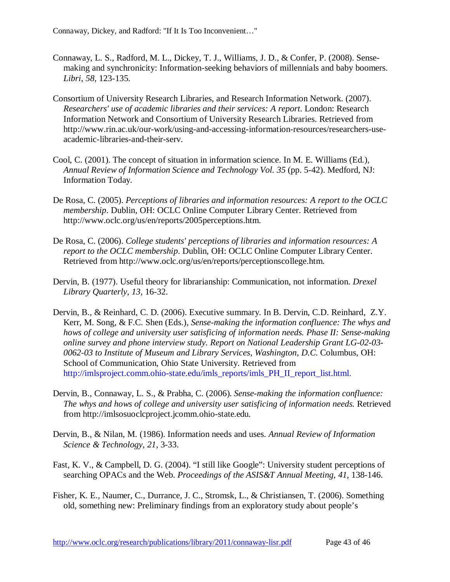- Connaway, L. S., Radford, M. L., Dickey, T. J., Williams, J. D., & Confer, P. (2008). Sensemaking and synchronicity: Information-seeking behaviors of millennials and baby boomers. *Libri*, *58*, 123-135.
- Consortium of University Research Libraries, and Research Information Network. (2007). *Researchers' use of academic libraries and their services: A report*. London: Research Information Network and Consortium of University Research Libraries. Retrieved from http://www.rin.ac.uk/our-work/using-and-accessing-information-resources/researchers-useacademic-libraries-and-their-serv.
- Cool, C. (2001). The concept of situation in information science. In M. E. Williams (Ed.), *Annual Review of Information Science and Technology Vol. 35* (pp. 5-42). Medford, NJ: Information Today.
- De Rosa, C. (2005). *Perceptions of libraries and information resources: A report to the OCLC membership*. Dublin, OH: OCLC Online Computer Library Center. Retrieved from http://www.oclc.org/us/en/reports/2005perceptions.htm.
- De Rosa, C. (2006). *College students' perceptions of libraries and information resources: A report to the OCLC membership*. Dublin, OH: OCLC Online Computer Library Center. Retrieved from http://www.oclc.org/us/en/reports/perceptionscollege.htm.
- Dervin, B. (1977). Useful theory for librarianship: Communication, not information. *Drexel Library Quarterly*, *13*, 16-32.
- Dervin, B., & Reinhard, C. D. (2006). Executive summary. In B. Dervin, C.D. Reinhard, Z.Y. Kerr, M. Song, & F.C. Shen (Eds.), *Sense-making the information confluence: The whys and hows of college and university user satisficing of information needs. Phase II: Sense-making online survey and phone interview study. Report on National Leadership Grant LG-02-03- 0062-03 to Institute of Museum and Library Services, Washington, D.C.* Columbus, OH: School of Communication, Ohio State University. Retrieved from http://imlsproject.comm.ohio-state.edu/imls\_reports/imls\_PH\_II\_report\_list.html.
- Dervin, B., Connaway, L. S., & Prabha, C. (2006). *Sense-making the information confluence: The whys and hows of college and university user satisficing of information needs.* Retrieved from http://imlsosuoclcproject.jcomm.ohio-state.edu.
- Dervin, B., & Nilan, M. (1986). Information needs and uses. *Annual Review of Information Science & Technology*, *21*, 3-33.
- Fast, K. V., & Campbell, D. G. (2004). "I still like Google": University student perceptions of searching OPACs and the Web. *Proceedings of the ASIS&T Annual Meeting*, *41*, 138-146.
- Fisher, K. E., Naumer, C., Durrance, J. C., Stromsk, L., & Christiansen, T. (2006). Something old, something new: Preliminary findings from an exploratory study about people's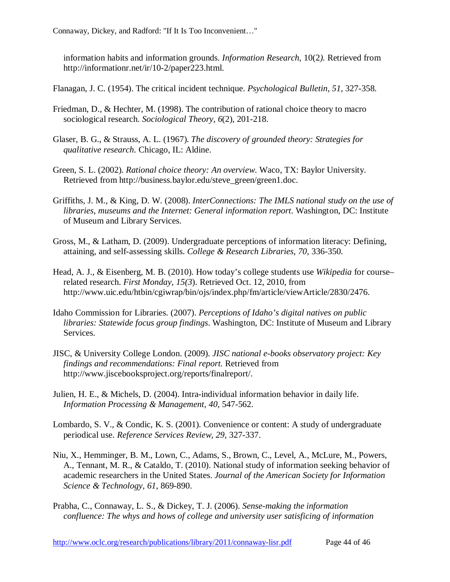information habits and information grounds. *Information Research*, 10(2*).* Retrieved from http://informationr.net/ir/10-2/paper223.html.

Flanagan, J. C. (1954). The critical incident technique. *Psychological Bulletin, 51,* 327-358.

- Friedman, D., & Hechter, M. (1998). The contribution of rational choice theory to macro sociological research. *Sociological Theory*, *6*(2), 201-218.
- Glaser, B. G., & Strauss, A. L. (1967). *The discovery of grounded theory: Strategies for qualitative research*. Chicago, IL: Aldine.
- Green, S. L. (2002). *Rational choice theory: An overview*. Waco, TX: Baylor University. Retrieved from http://business.baylor.edu/steve\_green/green1.doc.
- Griffiths, J. M., & King, D. W. (2008). *InterConnections: The IMLS national study on the use of libraries, museums and the Internet: General information report*. Washington, DC: Institute of Museum and Library Services.
- Gross, M., & Latham, D. (2009). Undergraduate perceptions of information literacy: Defining, attaining, and self-assessing skills. *College & Research Libraries*, *70*, 336-350.
- Head, A. J., & Eisenberg, M. B. (2010). How today's college students use *Wikipedia* for course– related research. *First Monday, 15(3*). Retrieved Oct. 12, 2010, from http://www.uic.edu/htbin/cgiwrap/bin/ojs/index.php/fm/article/viewArticle/2830/2476.
- Idaho Commission for Libraries. (2007). *Perceptions of Idaho's digital natives on public libraries: Statewide focus group findings*. Washington, DC: Institute of Museum and Library Services.
- JISC, & University College London. (2009). *JISC national e-books observatory project: Key findings and recommendations: Final report.* Retrieved from http://www.jiscebooksproject.org/reports/finalreport/.
- Julien, H. E., & Michels, D. (2004). Intra-individual information behavior in daily life. *Information Processing & Management*, *40*, 547-562.
- Lombardo, S. V., & Condic, K. S. (2001). Convenience or content: A study of undergraduate periodical use. *Reference Services Review*, *29*, 327-337.
- Niu, X., Hemminger, B. M., Lown, C., Adams, S., Brown, C., Level, A., McLure, M., Powers, A., Tennant, M. R., & Cataldo, T. (2010). National study of information seeking behavior of academic researchers in the United States. *Journal of the American Society for Information Science & Technology*, *61*, 869-890.
- Prabha, C., Connaway, L. S., & Dickey, T. J. (2006). *Sense-making the information confluence: The whys and hows of college and university user satisficing of information*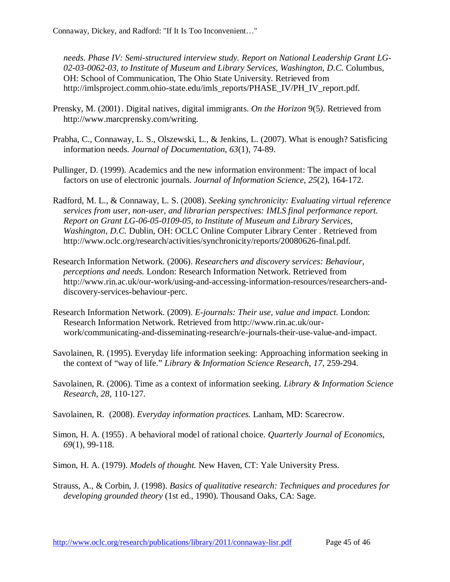*needs. Phase IV: Semi-structured interview study. Report on National Leadership Grant LG-02-03-0062-03, to Institute of Museum and Library Services, Washington, D.C.* Columbus, OH: School of Communication, The Ohio State University. Retrieved from http://imlsproject.comm.ohio-state.edu/imls\_reports/PHASE\_IV/PH\_IV\_report.pdf.

- Prensky, M. (2001) . Digital natives, digital immigrants. *On the Horizon* 9(5*)*. Retrieved from http://www.marcprensky.com/writing.
- Prabha, C., Connaway, L. S., Olszewski, L., & Jenkins, L. (2007). What is enough? Satisficing information needs. *Journal of Documentation*, *63*(1), 74-89.
- Pullinger, D. (1999). Academics and the new information environment: The impact of local factors on use of electronic journals. *Journal of Information Science*, *25*(2), 164-172.
- Radford, M. L., & Connaway, L. S. (2008). *Seeking synchronicity: Evaluating virtual reference services from user, non-user, and librarian perspectives: IMLS final performance report. Report on Grant LG-06-05-0109-05, to Institute of Museum and Library Services, Washington, D.C.* Dublin, OH: OCLC Online Computer Library Center . Retrieved from http://www.oclc.org/research/activities/synchronicity/reports/20080626-final.pdf.
- Research Information Network. (2006). *Researchers and discovery services: Behaviour, perceptions and needs.* London: Research Information Network. Retrieved from http://www.rin.ac.uk/our-work/using-and-accessing-information-resources/researchers-anddiscovery-services-behaviour-perc.
- Research Information Network. (2009). *E-journals: Their use, value and impact*. London: Research Information Network. Retrieved from http://www.rin.ac.uk/ourwork/communicating-and-disseminating-research/e-journals-their-use-value-and-impact.
- Savolainen, R. (1995). Everyday life information seeking: Approaching information seeking in the context of "way of life." *Library & Information Science Research*, *17*, 259-294.
- Savolainen, R. (2006). Time as a context of information seeking. *Library & Information Science Research*, *28*, 110-127.
- Savolainen, R. (2008). *Everyday information practices.* Lanham, MD: Scarecrow.
- Simon, H. A. (1955) . A behavioral model of rational choice. *Quarterly Journal of Economics*, *69*(1), 99-118.
- Simon, H. A. (1979). *Models of thought.* New Haven, CT: Yale University Press.
- Strauss, A., & Corbin, J. (1998). *Basics of qualitative research: Techniques and procedures for developing grounded theory* (1st ed., 1990). Thousand Oaks, CA: Sage.